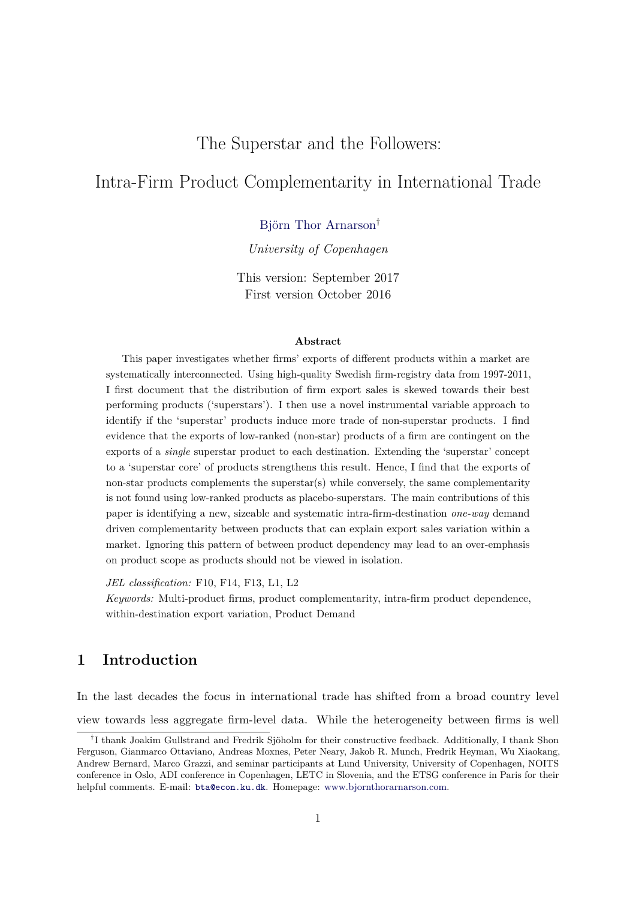# The Superstar and the Followers:

# Intra-Firm Product Complementarity in International Trade

[Björn Thor Arnarson](www.bjornthorarnarson.com)†

*University of Copenhagen*

This version: September 2017 First version October 2016

#### **Abstract**

This paper investigates whether firms' exports of different products within a market are systematically interconnected. Using high-quality Swedish firm-registry data from 1997-2011, I first document that the distribution of firm export sales is skewed towards their best performing products ('superstars'). I then use a novel instrumental variable approach to identify if the 'superstar' products induce more trade of non-superstar products. I find evidence that the exports of low-ranked (non-star) products of a firm are contingent on the exports of a *single* superstar product to each destination. Extending the 'superstar' concept to a 'superstar core' of products strengthens this result. Hence, I find that the exports of non-star products complements the superstar $(s)$  while conversely, the same complementarity is not found using low-ranked products as placebo-superstars. The main contributions of this paper is identifying a new, sizeable and systematic intra-firm-destination *one-way* demand driven complementarity between products that can explain export sales variation within a market. Ignoring this pattern of between product dependency may lead to an over-emphasis on product scope as products should not be viewed in isolation.

*JEL classification:* F10, F14, F13, L1, L2

*Keywords:* Multi-product firms, product complementarity, intra-firm product dependence, within-destination export variation, Product Demand

# **1 Introduction**

In the last decades the focus in international trade has shifted from a broad country level view towards less aggregate firm-level data. While the heterogeneity between firms is well

<sup>&</sup>lt;sup>†</sup>I thank Joakim Gullstrand and Fredrik Sjöholm for their constructive feedback. Additionally, I thank Shon Ferguson, Gianmarco Ottaviano, Andreas Moxnes, Peter Neary, Jakob R. Munch, Fredrik Heyman, Wu Xiaokang, Andrew Bernard, Marco Grazzi, and seminar participants at Lund University, University of Copenhagen, NOITS conference in Oslo, ADI conference in Copenhagen, LETC in Slovenia, and the ETSG conference in Paris for their helpful comments. E-mail: [bta@econ.ku.dk](mailto:bta@econ.ku.dk). Homepage: [www.bjornthorarnarson.com.](www.bjornthorarnarson.com)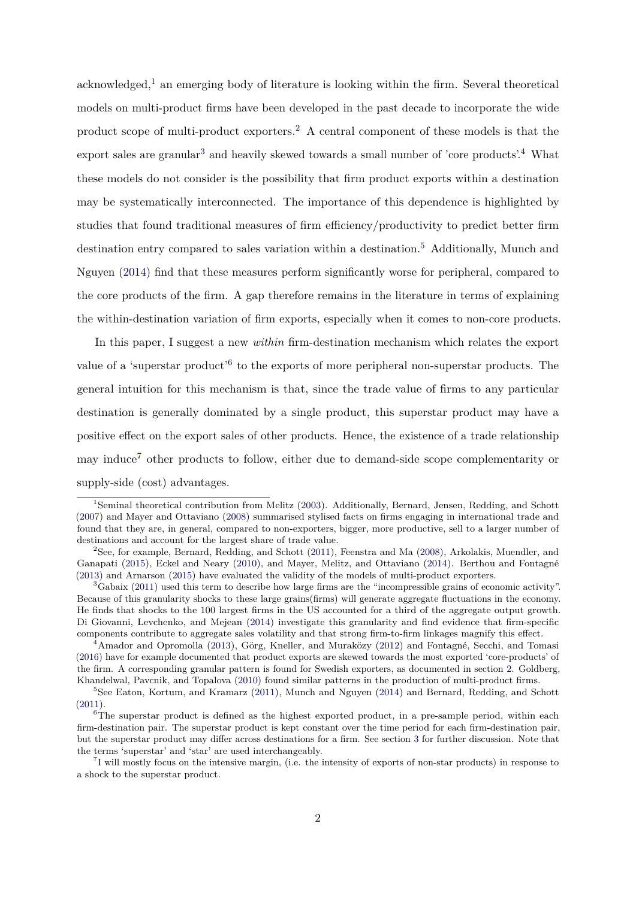acknowledged,<sup>[1](#page-1-0)</sup> an emerging body of literature is looking within the firm. Several theoretical models on multi-product firms have been developed in the past decade to incorporate the wide product scope of multi-product exporters.[2](#page-1-1) A central component of these models is that the export sales are granular<sup>[3](#page-1-2)</sup> and heavily skewed towards a small number of 'core products'.<sup>[4](#page-1-3)</sup> What these models do not consider is the possibility that firm product exports within a destination may be systematically interconnected. The importance of this dependence is highlighted by studies that found traditional measures of firm efficiency/productivity to predict better firm destination entry compared to sales variation within a destination.[5](#page-1-4) Additionally, Munch and Nguyen [\(2014\)](#page-26-0) find that these measures perform significantly worse for peripheral, compared to the core products of the firm. A gap therefore remains in the literature in terms of explaining the within-destination variation of firm exports, especially when it comes to non-core products.

In this paper, I suggest a new *within* firm-destination mechanism which relates the export value of a 'superstar product'<sup>[6](#page-1-5)</sup> to the exports of more peripheral non-superstar products. The general intuition for this mechanism is that, since the trade value of firms to any particular destination is generally dominated by a single product, this superstar product may have a positive effect on the export sales of other products. Hence, the existence of a trade relationship may induce[7](#page-1-6) other products to follow, either due to demand-side scope complementarity or supply-side (cost) advantages.

<span id="page-1-0"></span><sup>&</sup>lt;sup>1</sup>Seminal theoretical contribution from Melitz [\(2003\)](#page-26-1). Additionally, Bernard, Jensen, Redding, and Schott [\(2007\)](#page-23-0) and Mayer and Ottaviano [\(2008\)](#page-26-2) summarised stylised facts on firms engaging in international trade and found that they are, in general, compared to non-exporters, bigger, more productive, sell to a larger number of destinations and account for the largest share of trade value.

<span id="page-1-1"></span><sup>2</sup>See, for example, Bernard, Redding, and Schott [\(2011\)](#page-23-1), Feenstra and Ma [\(2008\)](#page-24-0), Arkolakis, Muendler, and Ganapati [\(2015\)](#page-23-2), Eckel and Neary [\(2010\)](#page-24-1), and Mayer, Melitz, and Ottaviano [\(2014\)](#page-26-3). Berthou and Fontagné [\(2013\)](#page-24-2) and Arnarson [\(2015\)](#page-23-3) have evaluated the validity of the models of multi-product exporters.

<span id="page-1-2"></span><sup>3</sup>Gabaix [\(2011\)](#page-25-0) used this term to describe how large firms are the "incompressible grains of economic activity". Because of this granularity shocks to these large grains(firms) will generate aggregate fluctuations in the economy. He finds that shocks to the 100 largest firms in the US accounted for a third of the aggregate output growth. Di Giovanni, Levchenko, and Mejean [\(2014\)](#page-24-3) investigate this granularity and find evidence that firm-specific components contribute to aggregate sales volatility and that strong firm-to-firm linkages magnify this effect.

<span id="page-1-3"></span><sup>4</sup>Amador and Opromolla [\(2013\)](#page-23-4), Görg, Kneller, and Muraközy [\(2012\)](#page-25-1) and Fontagné, Secchi, and Tomasi [\(2016\)](#page-25-2) have for example documented that product exports are skewed towards the most exported 'core-products' of the firm. A corresponding granular pattern is found for Swedish exporters, as documented in section [2.](#page-4-0) Goldberg, Khandelwal, Pavcnik, and Topalova [\(2010\)](#page-25-3) found similar patterns in the production of multi-product firms.

<span id="page-1-4"></span><sup>&</sup>lt;sup>5</sup>See Eaton, Kortum, and Kramarz [\(2011\)](#page-24-4), Munch and Nguyen [\(2014\)](#page-26-0) and Bernard, Redding, and Schott [\(2011\)](#page-23-1).

<span id="page-1-5"></span><sup>&</sup>lt;sup>6</sup>The superstar product is defined as the highest exported product, in a pre-sample period, within each firm-destination pair. The superstar product is kept constant over the time period for each firm-destination pair, but the superstar product may differ across destinations for a firm. See section [3](#page-8-0) for further discussion. Note that the terms 'superstar' and 'star' are used interchangeably.

<span id="page-1-6"></span><sup>7</sup> I will mostly focus on the intensive margin, (i.e. the intensity of exports of non-star products) in response to a shock to the superstar product.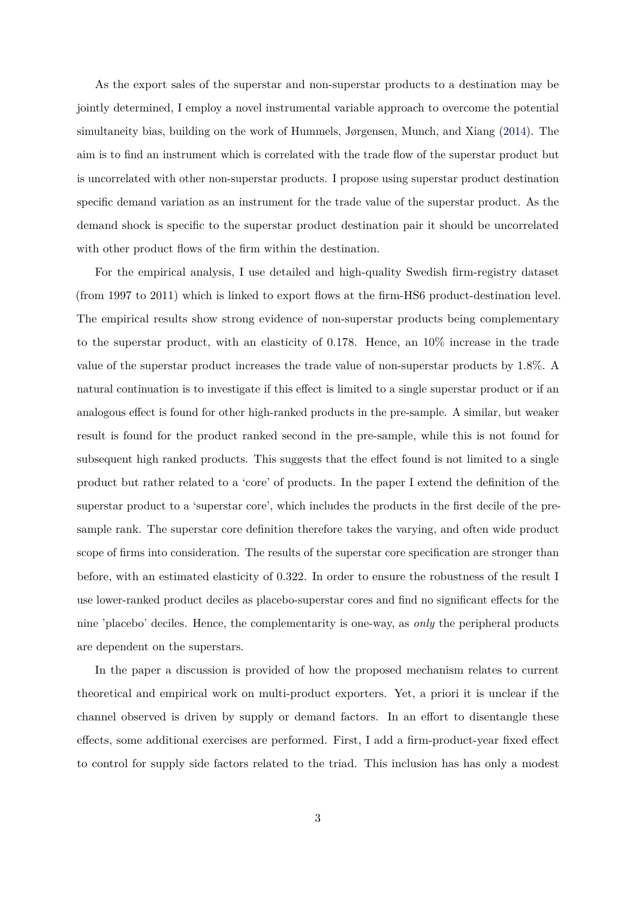As the export sales of the superstar and non-superstar products to a destination may be jointly determined, I employ a novel instrumental variable approach to overcome the potential simultaneity bias, building on the work of Hummels, Jørgensen, Munch, and Xiang [\(2014\)](#page-25-4). The aim is to find an instrument which is correlated with the trade flow of the superstar product but is uncorrelated with other non-superstar products. I propose using superstar product destination specific demand variation as an instrument for the trade value of the superstar product. As the demand shock is specific to the superstar product destination pair it should be uncorrelated with other product flows of the firm within the destination.

For the empirical analysis, I use detailed and high-quality Swedish firm-registry dataset (from 1997 to 2011) which is linked to export flows at the firm-HS6 product-destination level. The empirical results show strong evidence of non-superstar products being complementary to the superstar product, with an elasticity of 0.178. Hence, an 10% increase in the trade value of the superstar product increases the trade value of non-superstar products by 1.8%. A natural continuation is to investigate if this effect is limited to a single superstar product or if an analogous effect is found for other high-ranked products in the pre-sample. A similar, but weaker result is found for the product ranked second in the pre-sample, while this is not found for subsequent high ranked products. This suggests that the effect found is not limited to a single product but rather related to a 'core' of products. In the paper I extend the definition of the superstar product to a 'superstar core', which includes the products in the first decile of the presample rank. The superstar core definition therefore takes the varying, and often wide product scope of firms into consideration. The results of the superstar core specification are stronger than before, with an estimated elasticity of 0.322. In order to ensure the robustness of the result I use lower-ranked product deciles as placebo-superstar cores and find no significant effects for the nine 'placebo' deciles. Hence, the complementarity is one-way, as *only* the peripheral products are dependent on the superstars.

In the paper a discussion is provided of how the proposed mechanism relates to current theoretical and empirical work on multi-product exporters. Yet, a priori it is unclear if the channel observed is driven by supply or demand factors. In an effort to disentangle these effects, some additional exercises are performed. First, I add a firm-product-year fixed effect to control for supply side factors related to the triad. This inclusion has has only a modest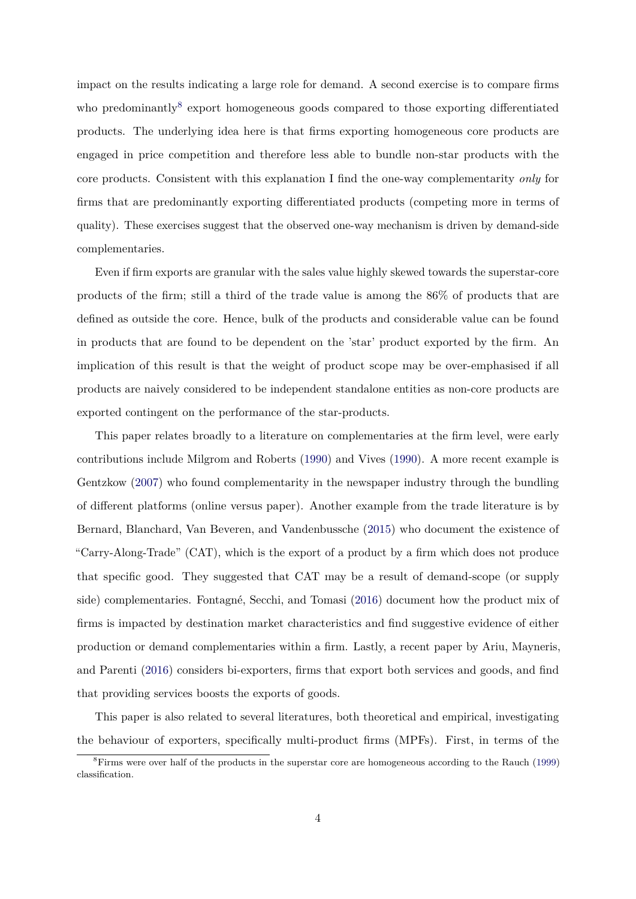impact on the results indicating a large role for demand. A second exercise is to compare firms who predominantly<sup>[8](#page-3-0)</sup> export homogeneous goods compared to those exporting differentiated products. The underlying idea here is that firms exporting homogeneous core products are engaged in price competition and therefore less able to bundle non-star products with the core products. Consistent with this explanation I find the one-way complementarity *only* for firms that are predominantly exporting differentiated products (competing more in terms of quality). These exercises suggest that the observed one-way mechanism is driven by demand-side complementaries.

Even if firm exports are granular with the sales value highly skewed towards the superstar-core products of the firm; still a third of the trade value is among the 86% of products that are defined as outside the core. Hence, bulk of the products and considerable value can be found in products that are found to be dependent on the 'star' product exported by the firm. An implication of this result is that the weight of product scope may be over-emphasised if all products are naively considered to be independent standalone entities as non-core products are exported contingent on the performance of the star-products.

This paper relates broadly to a literature on complementaries at the firm level, were early contributions include Milgrom and Roberts [\(1990\)](#page-26-4) and Vives [\(1990\)](#page-26-5). A more recent example is Gentzkow [\(2007\)](#page-25-5) who found complementarity in the newspaper industry through the bundling of different platforms (online versus paper). Another example from the trade literature is by Bernard, Blanchard, Van Beveren, and Vandenbussche [\(2015\)](#page-23-5) who document the existence of "Carry-Along-Trade" (CAT), which is the export of a product by a firm which does not produce that specific good. They suggested that CAT may be a result of demand-scope (or supply side) complementaries. Fontagné, Secchi, and Tomasi [\(2016\)](#page-25-2) document how the product mix of firms is impacted by destination market characteristics and find suggestive evidence of either production or demand complementaries within a firm. Lastly, a recent paper by Ariu, Mayneris, and Parenti [\(2016\)](#page-23-6) considers bi-exporters, firms that export both services and goods, and find that providing services boosts the exports of goods.

This paper is also related to several literatures, both theoretical and empirical, investigating the behaviour of exporters, specifically multi-product firms (MPFs). First, in terms of the

<span id="page-3-0"></span><sup>8</sup>Firms were over half of the products in the superstar core are homogeneous according to the Rauch [\(1999\)](#page-26-6) classification.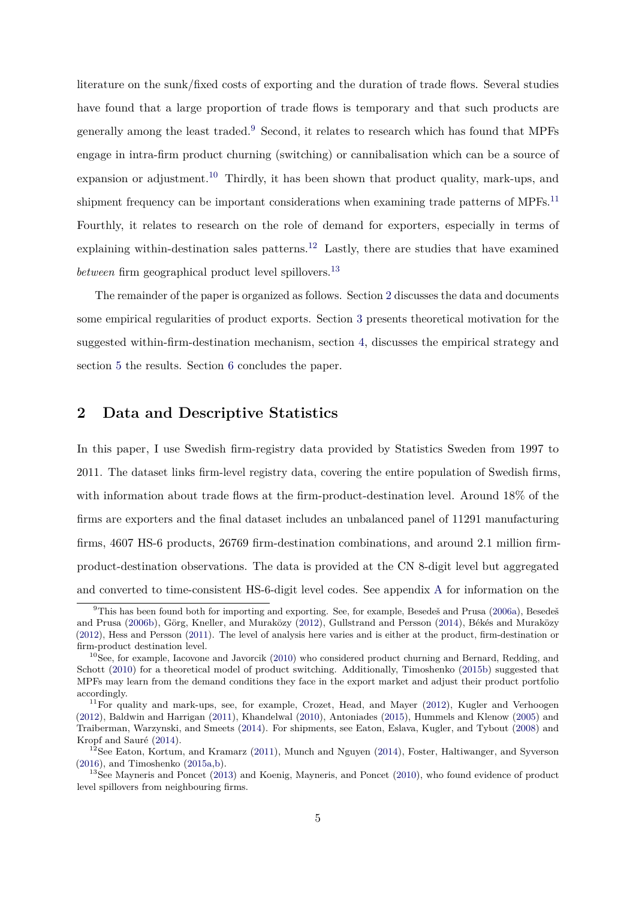literature on the sunk/fixed costs of exporting and the duration of trade flows. Several studies have found that a large proportion of trade flows is temporary and that such products are generally among the least traded.[9](#page-4-1) Second, it relates to research which has found that MPFs engage in intra-firm product churning (switching) or cannibalisation which can be a source of expansion or adjustment.<sup>[10](#page-4-2)</sup> Thirdly, it has been shown that product quality, mark-ups, and shipment frequency can be important considerations when examining trade patterns of MPFs.<sup>[11](#page-4-3)</sup> Fourthly, it relates to research on the role of demand for exporters, especially in terms of explaining within-destination sales patterns.<sup>[12](#page-4-4)</sup> Lastly, there are studies that have examined *between* firm geographical product level spillovers.<sup>[13](#page-4-5)</sup>

The remainder of the paper is organized as follows. Section [2](#page-4-0) discusses the data and documents some empirical regularities of product exports. Section [3](#page-8-0) presents theoretical motivation for the suggested within-firm-destination mechanism, section [4,](#page-11-0) discusses the empirical strategy and section [5](#page-13-0) the results. Section [6](#page-20-0) concludes the paper.

# <span id="page-4-0"></span>**2 Data and Descriptive Statistics**

In this paper, I use Swedish firm-registry data provided by Statistics Sweden from 1997 to 2011. The dataset links firm-level registry data, covering the entire population of Swedish firms, with information about trade flows at the firm-product-destination level. Around 18% of the firms are exporters and the final dataset includes an unbalanced panel of 11291 manufacturing firms, 4607 HS-6 products, 26769 firm-destination combinations, and around 2.1 million firmproduct-destination observations. The data is provided at the CN 8-digit level but aggregated and converted to time-consistent HS-6-digit level codes. See appendix [A](#page-27-0) for information on the

<span id="page-4-1"></span><sup>&</sup>lt;sup>9</sup>This has been found both for importing and exporting. See, for example, Besedeš and Prusa [\(2006a\)](#page-24-5), Besedeš and Prusa [\(2006b\)](#page-24-6), Görg, Kneller, and Muraközy [\(2012\)](#page-25-1), Gullstrand and Persson [\(2014\)](#page-25-6), Békés and Muraközy [\(2012\)](#page-23-7), Hess and Persson [\(2011\)](#page-25-7). The level of analysis here varies and is either at the product, firm-destination or firm-product destination level.

<span id="page-4-2"></span><sup>&</sup>lt;sup>10</sup>See, for example, Iacovone and Javorcik [\(2010\)](#page-25-8) who considered product churning and Bernard, Redding, and Schott [\(2010\)](#page-23-8) for a theoretical model of product switching. Additionally, Timoshenko [\(2015b\)](#page-26-7) suggested that MPFs may learn from the demand conditions they face in the export market and adjust their product portfolio accordingly.

<span id="page-4-3"></span> $11$ For quality and mark-ups, see, for example, Crozet, Head, and Mayer [\(2012\)](#page-24-7), Kugler and Verhoogen [\(2012\)](#page-26-8), Baldwin and Harrigan [\(2011\)](#page-23-9), Khandelwal [\(2010\)](#page-25-9), Antoniades [\(2015\)](#page-23-10), Hummels and Klenow [\(2005\)](#page-25-10) and Traiberman, Warzynski, and Smeets [\(2014\)](#page-26-9). For shipments, see Eaton, Eslava, Kugler, and Tybout [\(2008\)](#page-24-8) and Kropf and Sauré [\(2014\)](#page-25-11).

<span id="page-4-4"></span> $12$ See Eaton, Kortum, and Kramarz [\(2011\)](#page-24-4), Munch and Nguyen [\(2014\)](#page-26-0), Foster, Haltiwanger, and Syverson [\(2016\)](#page-25-12), and Timoshenko [\(2015a](#page-26-10)[,b\)](#page-26-7).

<span id="page-4-5"></span><sup>&</sup>lt;sup>13</sup>See Mayneris and Poncet [\(2013\)](#page-26-11) and Koenig, Mayneris, and Poncet [\(2010\)](#page-25-13), who found evidence of product level spillovers from neighbouring firms.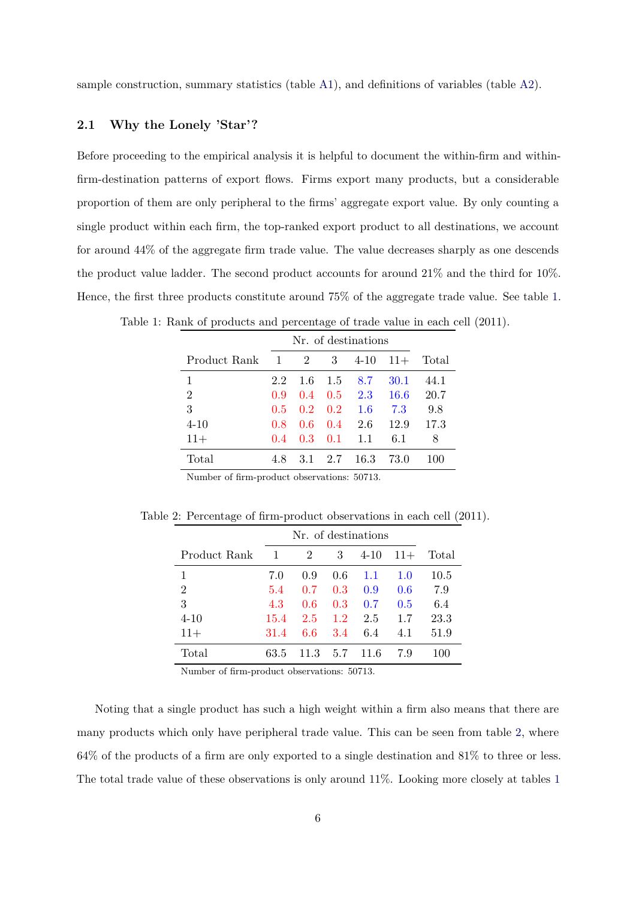sample construction, summary statistics (table [A1\)](#page-28-0), and definitions of variables (table [A2\)](#page-28-1).

### **2.1 Why the Lonely 'Star'?**

Before proceeding to the empirical analysis it is helpful to document the within-firm and withinfirm-destination patterns of export flows. Firms export many products, but a considerable proportion of them are only peripheral to the firms' aggregate export value. By only counting a single product within each firm, the top-ranked export product to all destinations, we account for around 44% of the aggregate firm trade value. The value decreases sharply as one descends the product value ladder. The second product accounts for around 21% and the third for 10%. Hence, the first three products constitute around 75% of the aggregate trade value. See table [1.](#page-5-0)

|                |       | Nr. of destinations |     |          |       |       |  |  |
|----------------|-------|---------------------|-----|----------|-------|-------|--|--|
| Product Rank   | 1     | $\overline{2}$      | 3   | $4 - 10$ | $11+$ | Total |  |  |
| 1              | 2.2   | 1.6                 | 1.5 | 8.7      | 30.1  | 44.1  |  |  |
| $\overline{2}$ | 0.9   | 0.4                 | 0.5 | 2.3      | 16.6  | 20.7  |  |  |
| 3              | 0.5   | 0.2                 | 0.2 | 1.6      | 7.3   | 9.8   |  |  |
| $4 - 10$       | 0.8   | 0.6                 | 0.4 | 2.6      | 12.9  | 17.3  |  |  |
| $11+$          | (1.4) | 0.3                 | 0.1 | 1.1      | 6.1   | 8     |  |  |
| Total          | 4.8   | 3.1                 | 2.7 | 16.3     | 73.0  | 100   |  |  |

<span id="page-5-0"></span>Table 1: Rank of products and percentage of trade value in each cell (2011).

Number of firm-product observations: 50713.

<span id="page-5-1"></span>Table 2: Percentage of firm-product observations in each cell (2011).

|                |      | Nr. of destinations |     |          |       |       |  |  |  |
|----------------|------|---------------------|-----|----------|-------|-------|--|--|--|
| Product Rank   | 1    | 2                   | 3   | $4 - 10$ | $11+$ | Total |  |  |  |
| 1              | 7.0  | 0.9                 | 0.6 | 1.1      | 1.0   | 10.5  |  |  |  |
| $\overline{2}$ | 5.4  | 0.7                 | 0.3 | 0.9      | 0.6   | 7.9   |  |  |  |
| 3              | 4.3  | 0.6                 | 0.3 | 0.7      | 0.5   | 6.4   |  |  |  |
| $4 - 10$       | 15.4 | 2.5                 | 1.2 | 2.5      | 1.7   | 23.3  |  |  |  |
| $11+$          | 31.4 | 6.6                 | 3.4 | 6.4      | 4.1   | 51.9  |  |  |  |
| Total          | 63.5 | 11.3                | 5.7 | 11.6     | 7.9   | 100   |  |  |  |

Number of firm-product observations: 50713.

Noting that a single product has such a high weight within a firm also means that there are many products which only have peripheral trade value. This can be seen from table [2,](#page-5-1) where 64% of the products of a firm are only exported to a single destination and 81% to three or less. The total trade value of these observations is only around 11%. Looking more closely at tables [1](#page-5-0)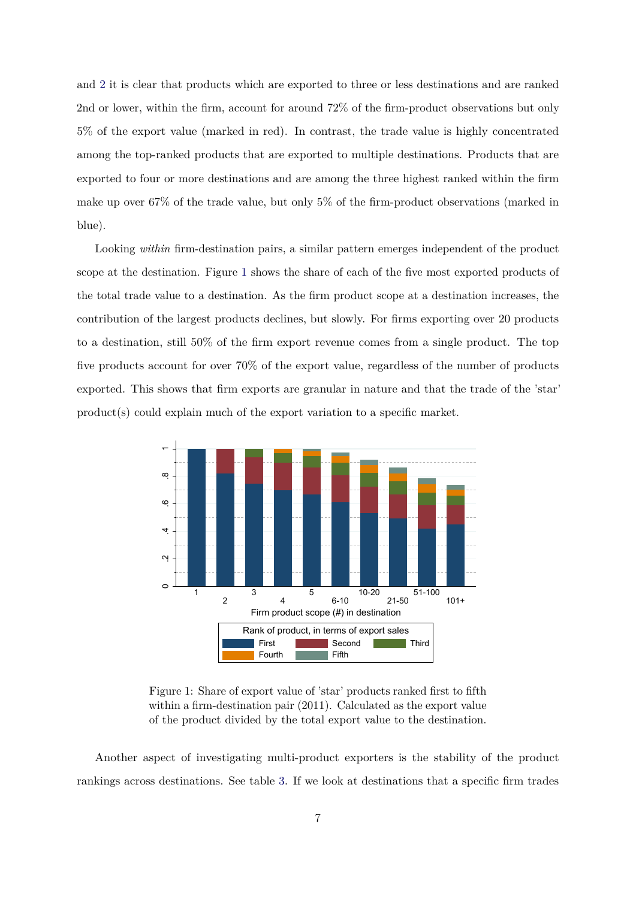and [2](#page-5-1) it is clear that products which are exported to three or less destinations and are ranked 2nd or lower, within the firm, account for around 72% of the firm-product observations but only 5% of the export value (marked in red). In contrast, the trade value is highly concentrated among the top-ranked products that are exported to multiple destinations. Products that are exported to four or more destinations and are among the three highest ranked within the firm make up over 67% of the trade value, but only 5% of the firm-product observations (marked in blue).

Looking *within* firm-destination pairs, a similar pattern emerges independent of the product scope at the destination. Figure [1](#page-6-0) shows the share of each of the five most exported products of the total trade value to a destination. As the firm product scope at a destination increases, the contribution of the largest products declines, but slowly. For firms exporting over 20 products to a destination, still 50% of the firm export revenue comes from a single product. The top five products account for over 70% of the export value, regardless of the number of products exported. This shows that firm exports are granular in nature and that the trade of the 'star' product(s) could explain much of the export variation to a specific market.

<span id="page-6-0"></span>

Figure 1: Share of export value of 'star' products ranked first to fifth within a firm-destination pair (2011). Calculated as the export value of the product divided by the total export value to the destination.

Another aspect of investigating multi-product exporters is the stability of the product rankings across destinations. See table [3.](#page-7-0) If we look at destinations that a specific firm trades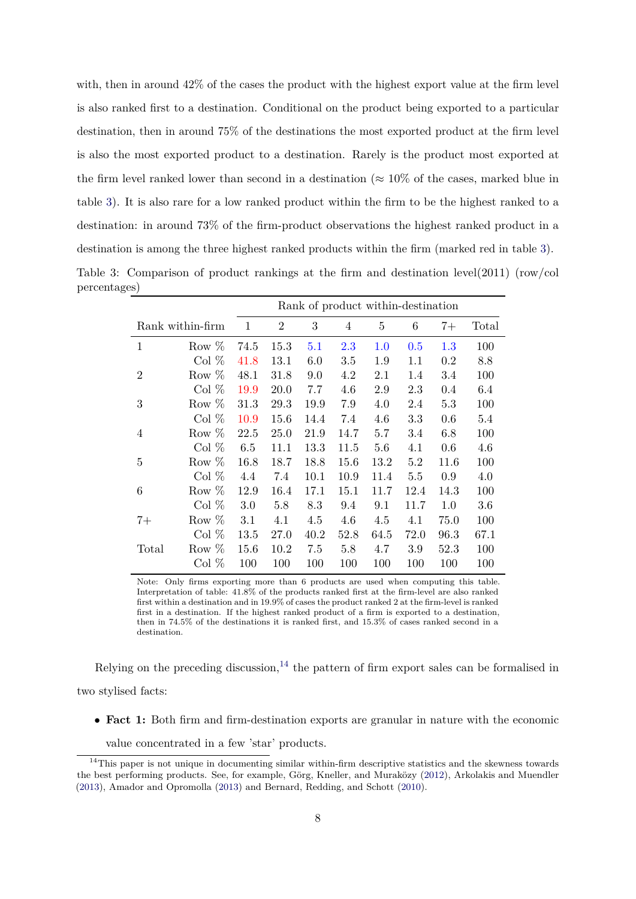with, then in around 42% of the cases the product with the highest export value at the firm level is also ranked first to a destination. Conditional on the product being exported to a particular destination, then in around 75% of the destinations the most exported product at the firm level is also the most exported product to a destination. Rarely is the product most exported at the firm level ranked lower than second in a destination ( $\approx 10\%$  of the cases, marked blue in table [3\)](#page-7-0). It is also rare for a low ranked product within the firm to be the highest ranked to a destination: in around 73% of the firm-product observations the highest ranked product in a destination is among the three highest ranked products within the firm (marked red in table [3\)](#page-7-0). Table 3: Comparison of product rankings at the firm and destination level(2011) (row/col percentages)

<span id="page-7-0"></span>

|                |                  |      | Rank of product within-destination |      |      |      |         |         |       |
|----------------|------------------|------|------------------------------------|------|------|------|---------|---------|-------|
|                | Rank within-firm | 1    | $\overline{2}$                     | 3    | 4    | 5    | 6       | $7+$    | Total |
| 1              | Row $%$          | 74.5 | 15.3                               | 5.1  | 2.3  | 1.0  | 0.5     | $1.3\,$ | 100   |
|                | Col%             | 41.8 | 13.1                               | 6.0  | 3.5  | 1.9  | 1.1     | 0.2     | 8.8   |
| $\overline{2}$ | Row $%$          | 48.1 | 31.8                               | 9.0  | 4.2  | 2.1  | 1.4     | 3.4     | 100   |
|                | Col $%$          | 19.9 | 20.0                               | 7.7  | 4.6  | 2.9  | 2.3     | 0.4     | 6.4   |
| 3              | Row $%$          | 31.3 | 29.3                               | 19.9 | 7.9  | 4.0  | 2.4     | 5.3     | 100   |
|                | Col $%$          | 10.9 | 15.6                               | 14.4 | 7.4  | 4.6  | 3.3     | 0.6     | 5.4   |
| 4              | Row $%$          | 22.5 | 25.0                               | 21.9 | 14.7 | 5.7  | 3.4     | 6.8     | 100   |
|                | Col $%$          | 6.5  | 11.1                               | 13.3 | 11.5 | 5.6  | 4.1     | 0.6     | 4.6   |
| 5              | Row $%$          | 16.8 | 18.7                               | 18.8 | 15.6 | 13.2 | 5.2     | 11.6    | 100   |
|                | Col%             | 4.4  | 7.4                                | 10.1 | 10.9 | 11.4 | 5.5     | 0.9     | 4.0   |
| 6              | Row $%$          | 12.9 | 16.4                               | 17.1 | 15.1 | 11.7 | 12.4    | 14.3    | 100   |
|                | Col%             | 3.0  | 5.8                                | 8.3  | 9.4  | 9.1  | 11.7    | 1.0     | 3.6   |
| $7+$           | Row $%$          | 3.1  | 4.1                                | 4.5  | 4.6  | 4.5  | 4.1     | 75.0    | 100   |
|                | Col%             | 13.5 | 27.0                               | 40.2 | 52.8 | 64.5 | 72.0    | 96.3    | 67.1  |
| Total          | Row $%$          | 15.6 | 10.2                               | 7.5  | 5.8  | 4.7  | $3.9\,$ | 52.3    | 100   |
|                | Col%             | 100  | 100                                | 100  | 100  | 100  | 100     | 100     | 100   |

Note: Only firms exporting more than 6 products are used when computing this table. Interpretation of table: 41.8% of the products ranked first at the firm-level are also ranked first within a destination and in 19.9% of cases the product ranked 2 at the firm-level is ranked first in a destination. If the highest ranked product of a firm is exported to a destination, then in 74.5% of the destinations it is ranked first, and 15.3% of cases ranked second in a destination.

Relying on the preceding discussion,<sup>[14](#page-7-1)</sup> the pattern of firm export sales can be formalised in two stylised facts:

• **Fact 1:** Both firm and firm-destination exports are granular in nature with the economic

<span id="page-7-1"></span>value concentrated in a few 'star' products.

<sup>&</sup>lt;sup>14</sup>This paper is not unique in documenting similar within-firm descriptive statistics and the skewness towards the best performing products. See, for example, Görg, Kneller, and Muraközy [\(2012\)](#page-25-1), Arkolakis and Muendler [\(2013\)](#page-23-11), Amador and Opromolla [\(2013\)](#page-23-4) and Bernard, Redding, and Schott [\(2010\)](#page-23-8).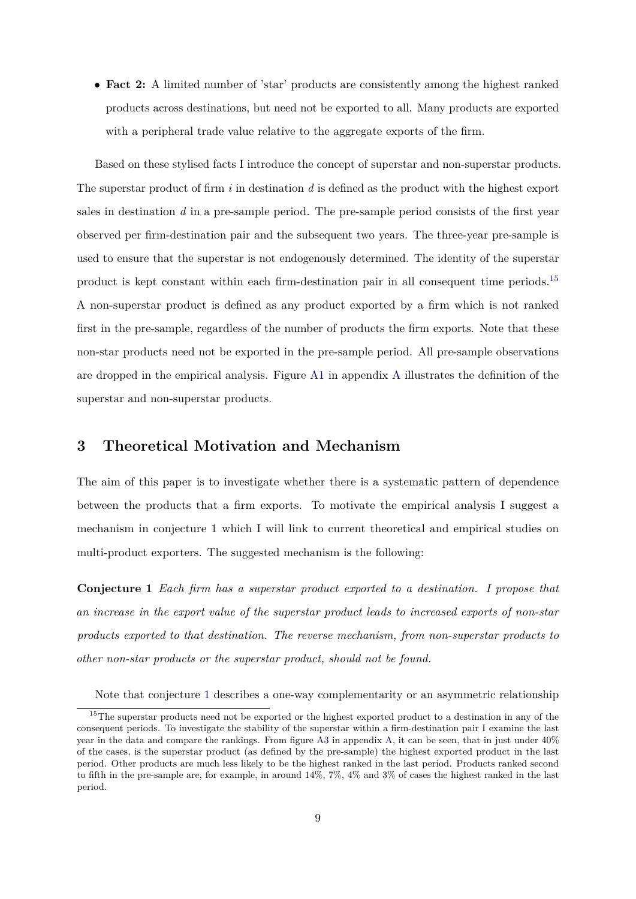• **Fact 2:** A limited number of 'star' products are consistently among the highest ranked products across destinations, but need not be exported to all. Many products are exported with a peripheral trade value relative to the aggregate exports of the firm.

Based on these stylised facts I introduce the concept of superstar and non-superstar products. The superstar product of firm *i* in destination *d* is defined as the product with the highest export sales in destination *d* in a pre-sample period. The pre-sample period consists of the first year observed per firm-destination pair and the subsequent two years. The three-year pre-sample is used to ensure that the superstar is not endogenously determined. The identity of the superstar product is kept constant within each firm-destination pair in all consequent time periods.[15](#page-8-1) A non-superstar product is defined as any product exported by a firm which is not ranked first in the pre-sample, regardless of the number of products the firm exports. Note that these non-star products need not be exported in the pre-sample period. All pre-sample observations are dropped in the empirical analysis. Figure [A1](#page-29-0) in appendix [A](#page-27-0) illustrates the definition of the superstar and non-superstar products.

# <span id="page-8-0"></span>**3 Theoretical Motivation and Mechanism**

The aim of this paper is to investigate whether there is a systematic pattern of dependence between the products that a firm exports. To motivate the empirical analysis I suggest a mechanism in conjecture [1](#page-8-2) which I will link to current theoretical and empirical studies on multi-product exporters. The suggested mechanism is the following:

<span id="page-8-2"></span>**Conjecture 1** *Each firm has a superstar product exported to a destination. I propose that an increase in the export value of the superstar product leads to increased exports of non-star products exported to that destination. The reverse mechanism, from non-superstar products to other non-star products or the superstar product, should not be found.*

<span id="page-8-1"></span>Note that conjecture [1](#page-8-2) describes a one-way complementarity or an asymmetric relationship

<sup>&</sup>lt;sup>15</sup>The superstar products need not be exported or the highest exported product to a destination in any of the consequent periods. To investigate the stability of the superstar within a firm-destination pair I examine the last year in the data and compare the rankings. From figure [A3](#page-30-0) in appendix [A,](#page-27-0) it can be seen, that in just under 40% of the cases, is the superstar product (as defined by the pre-sample) the highest exported product in the last period. Other products are much less likely to be the highest ranked in the last period. Products ranked second to fifth in the pre-sample are, for example, in around 14%, 7%, 4% and 3% of cases the highest ranked in the last period.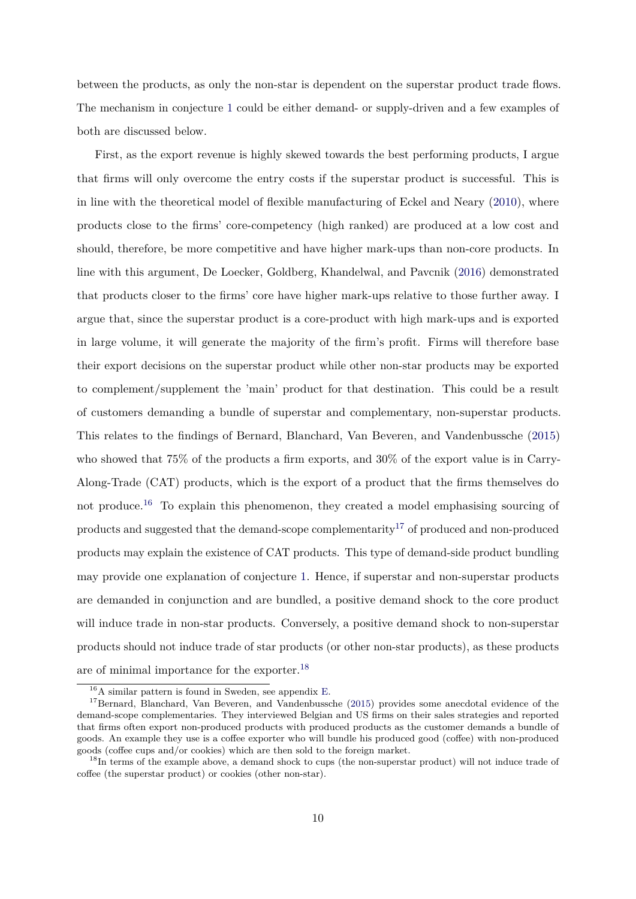between the products, as only the non-star is dependent on the superstar product trade flows. The mechanism in conjecture [1](#page-8-2) could be either demand- or supply-driven and a few examples of both are discussed below.

First, as the export revenue is highly skewed towards the best performing products, I argue that firms will only overcome the entry costs if the superstar product is successful. This is in line with the theoretical model of flexible manufacturing of Eckel and Neary [\(2010\)](#page-24-1), where products close to the firms' core-competency (high ranked) are produced at a low cost and should, therefore, be more competitive and have higher mark-ups than non-core products. In line with this argument, De Loecker, Goldberg, Khandelwal, and Pavcnik [\(2016\)](#page-24-9) demonstrated that products closer to the firms' core have higher mark-ups relative to those further away. I argue that, since the superstar product is a core-product with high mark-ups and is exported in large volume, it will generate the majority of the firm's profit. Firms will therefore base their export decisions on the superstar product while other non-star products may be exported to complement/supplement the 'main' product for that destination. This could be a result of customers demanding a bundle of superstar and complementary, non-superstar products. This relates to the findings of Bernard, Blanchard, Van Beveren, and Vandenbussche [\(2015\)](#page-23-5) who showed that 75% of the products a firm exports, and 30% of the export value is in Carry-Along-Trade (CAT) products, which is the export of a product that the firms themselves do not produce.<sup>[16](#page-9-0)</sup> To explain this phenomenon, they created a model emphasising sourcing of products and suggested that the demand-scope complementarity<sup>[17](#page-9-1)</sup> of produced and non-produced products may explain the existence of CAT products. This type of demand-side product bundling may provide one explanation of conjecture [1.](#page-8-2) Hence, if superstar and non-superstar products are demanded in conjunction and are bundled, a positive demand shock to the core product will induce trade in non-star products. Conversely, a positive demand shock to non-superstar products should not induce trade of star products (or other non-star products), as these products are of minimal importance for the exporter.[18](#page-9-2)

<span id="page-9-1"></span><span id="page-9-0"></span><sup>16</sup>A similar pattern is found in Sweden, see appendix [E.](#page-36-0)

<sup>&</sup>lt;sup>17</sup>Bernard, Blanchard, Van Beveren, and Vandenbussche [\(2015\)](#page-23-5) provides some anecdotal evidence of the demand-scope complementaries. They interviewed Belgian and US firms on their sales strategies and reported that firms often export non-produced products with produced products as the customer demands a bundle of goods. An example they use is a coffee exporter who will bundle his produced good (coffee) with non-produced goods (coffee cups and/or cookies) which are then sold to the foreign market.

<span id="page-9-2"></span><sup>&</sup>lt;sup>18</sup>In terms of the example above, a demand shock to cups (the non-superstar product) will not induce trade of coffee (the superstar product) or cookies (other non-star).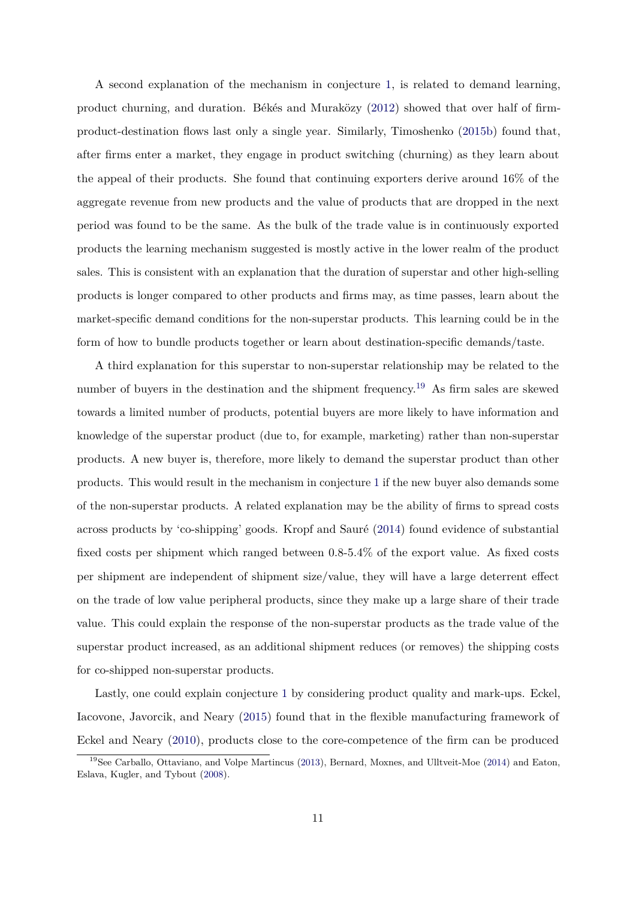A second explanation of the mechanism in conjecture [1,](#page-8-2) is related to demand learning, product churning, and duration. Békés and Muraközy [\(2012\)](#page-23-7) showed that over half of firmproduct-destination flows last only a single year. Similarly, Timoshenko [\(2015b\)](#page-26-7) found that, after firms enter a market, they engage in product switching (churning) as they learn about the appeal of their products. She found that continuing exporters derive around 16% of the aggregate revenue from new products and the value of products that are dropped in the next period was found to be the same. As the bulk of the trade value is in continuously exported products the learning mechanism suggested is mostly active in the lower realm of the product sales. This is consistent with an explanation that the duration of superstar and other high-selling products is longer compared to other products and firms may, as time passes, learn about the market-specific demand conditions for the non-superstar products. This learning could be in the form of how to bundle products together or learn about destination-specific demands/taste.

A third explanation for this superstar to non-superstar relationship may be related to the number of buyers in the destination and the shipment frequency.<sup>[19](#page-10-0)</sup> As firm sales are skewed towards a limited number of products, potential buyers are more likely to have information and knowledge of the superstar product (due to, for example, marketing) rather than non-superstar products. A new buyer is, therefore, more likely to demand the superstar product than other products. This would result in the mechanism in conjecture [1](#page-8-2) if the new buyer also demands some of the non-superstar products. A related explanation may be the ability of firms to spread costs across products by 'co-shipping' goods. Kropf and Sauré [\(2014\)](#page-25-11) found evidence of substantial fixed costs per shipment which ranged between 0.8-5.4% of the export value. As fixed costs per shipment are independent of shipment size/value, they will have a large deterrent effect on the trade of low value peripheral products, since they make up a large share of their trade value. This could explain the response of the non-superstar products as the trade value of the superstar product increased, as an additional shipment reduces (or removes) the shipping costs for co-shipped non-superstar products.

Lastly, one could explain conjecture [1](#page-8-2) by considering product quality and mark-ups. Eckel, Iacovone, Javorcik, and Neary [\(2015\)](#page-24-10) found that in the flexible manufacturing framework of Eckel and Neary [\(2010\)](#page-24-1), products close to the core-competence of the firm can be produced

<span id="page-10-0"></span><sup>&</sup>lt;sup>19</sup>See Carballo, Ottaviano, and Volpe Martincus [\(2013\)](#page-24-11), Bernard, Moxnes, and Ulltveit-Moe [\(2014\)](#page-23-12) and Eaton, Eslava, Kugler, and Tybout [\(2008\)](#page-24-8).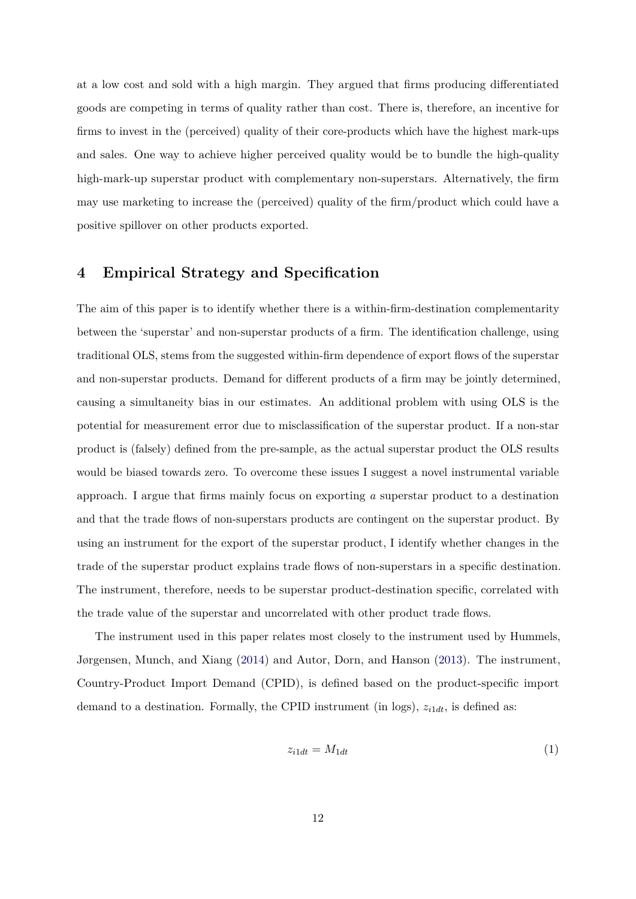at a low cost and sold with a high margin. They argued that firms producing differentiated goods are competing in terms of quality rather than cost. There is, therefore, an incentive for firms to invest in the (perceived) quality of their core-products which have the highest mark-ups and sales. One way to achieve higher perceived quality would be to bundle the high-quality high-mark-up superstar product with complementary non-superstars. Alternatively, the firm may use marketing to increase the (perceived) quality of the firm/product which could have a positive spillover on other products exported.

# <span id="page-11-0"></span>**4 Empirical Strategy and Specification**

The aim of this paper is to identify whether there is a within-firm-destination complementarity between the 'superstar' and non-superstar products of a firm. The identification challenge, using traditional OLS, stems from the suggested within-firm dependence of export flows of the superstar and non-superstar products. Demand for different products of a firm may be jointly determined, causing a simultaneity bias in our estimates. An additional problem with using OLS is the potential for measurement error due to misclassification of the superstar product. If a non-star product is (falsely) defined from the pre-sample, as the actual superstar product the OLS results would be biased towards zero. To overcome these issues I suggest a novel instrumental variable approach. I argue that firms mainly focus on exporting *a* superstar product to a destination and that the trade flows of non-superstars products are contingent on the superstar product. By using an instrument for the export of the superstar product, I identify whether changes in the trade of the superstar product explains trade flows of non-superstars in a specific destination. The instrument, therefore, needs to be superstar product-destination specific, correlated with the trade value of the superstar and uncorrelated with other product trade flows.

The instrument used in this paper relates most closely to the instrument used by Hummels, Jørgensen, Munch, and Xiang [\(2014\)](#page-25-4) and Autor, Dorn, and Hanson [\(2013\)](#page-23-13). The instrument, Country-Product Import Demand (CPID), is defined based on the product-specific import demand to a destination. Formally, the CPID instrument (in logs), *zi*1*dt*, is defined as:

$$
z_{i1dt} = M_{1dt} \tag{1}
$$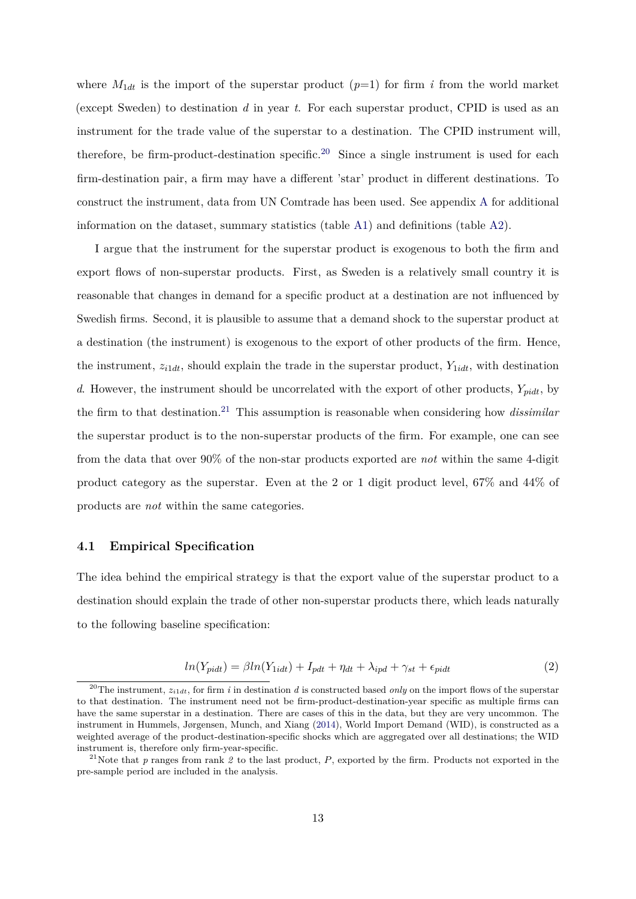where  $M_{1dt}$  is the import of the superstar product  $(p=1)$  for firm *i* from the world market (except Sweden) to destination *d* in year *t*. For each superstar product, CPID is used as an instrument for the trade value of the superstar to a destination. The CPID instrument will, therefore, be firm-product-destination specific.<sup>[20](#page-12-0)</sup> Since a single instrument is used for each firm-destination pair, a firm may have a different 'star' product in different destinations. To construct the instrument, data from UN Comtrade has been used. See appendix [A](#page-27-0) for additional information on the dataset, summary statistics (table [A1\)](#page-28-0) and definitions (table [A2\)](#page-28-1).

I argue that the instrument for the superstar product is exogenous to both the firm and export flows of non-superstar products. First, as Sweden is a relatively small country it is reasonable that changes in demand for a specific product at a destination are not influenced by Swedish firms. Second, it is plausible to assume that a demand shock to the superstar product at a destination (the instrument) is exogenous to the export of other products of the firm. Hence, the instrument,  $z_{i1dt}$ , should explain the trade in the superstar product,  $Y_{1idt}$ , with destination *d*. However, the instrument should be uncorrelated with the export of other products, *Ypidt*, by the firm to that destination.[21](#page-12-1) This assumption is reasonable when considering how *dissimilar* the superstar product is to the non-superstar products of the firm. For example, one can see from the data that over 90% of the non-star products exported are *not* within the same 4-digit product category as the superstar. Even at the 2 or 1 digit product level, 67% and 44% of products are *not* within the same categories.

### **4.1 Empirical Specification**

The idea behind the empirical strategy is that the export value of the superstar product to a destination should explain the trade of other non-superstar products there, which leads naturally to the following baseline specification:

<span id="page-12-2"></span>
$$
ln(Y_{pidt}) = \beta ln(Y_{1idt}) + I_{pdt} + \eta_{dt} + \lambda_{ipd} + \gamma_{st} + \epsilon_{pidt}
$$
\n<sup>(2)</sup>

<span id="page-12-0"></span><sup>&</sup>lt;sup>20</sup>The instrument,  $z_{i1dt}$ , for firm *i* in destination *d* is constructed based *only* on the import flows of the superstar to that destination. The instrument need not be firm-product-destination-year specific as multiple firms can have the same superstar in a destination. There are cases of this in the data, but they are very uncommon. The instrument in Hummels, Jørgensen, Munch, and Xiang [\(2014\)](#page-25-4), World Import Demand (WID), is constructed as a weighted average of the product-destination-specific shocks which are aggregated over all destinations; the WID instrument is, therefore only firm-year-specific.

<span id="page-12-1"></span><sup>21</sup>Note that *p* ranges from rank *2* to the last product, *P*, exported by the firm. Products not exported in the pre-sample period are included in the analysis.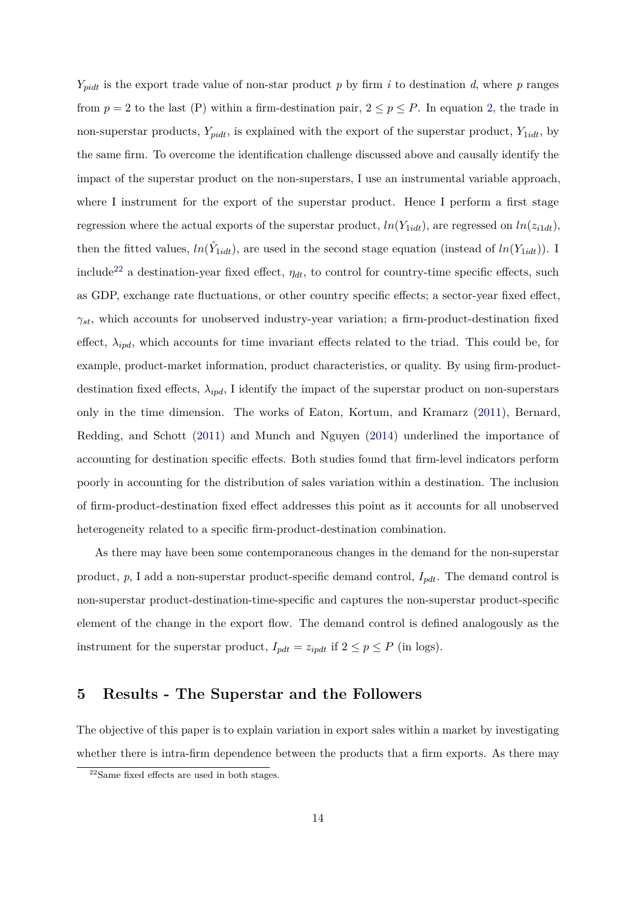$Y_{pidt}$  is the export trade value of non-star product *p* by firm *i* to destination *d*, where *p* ranges from  $p = 2$  to the last (P) within a firm-destination pair,  $2 \le p \le P$ . In equation [2,](#page-12-2) the trade in non-superstar products,  $Y_{pidt}$ , is explained with the export of the superstar product,  $Y_{1idt}$ , by the same firm. To overcome the identification challenge discussed above and causally identify the impact of the superstar product on the non-superstars, I use an instrumental variable approach, where I instrument for the export of the superstar product. Hence I perform a first stage regression where the actual exports of the superstar product,  $ln(Y_{1idt})$ , are regressed on  $ln(z_{i1dt})$ , then the fitted values,  $ln(\hat{Y}_{1idt})$ , are used in the second stage equation (instead of  $ln(Y_{1idt})$ ). I include<sup>[22](#page-13-1)</sup> a destination-year fixed effect,  $\eta_{dt}$ , to control for country-time specific effects, such as GDP, exchange rate fluctuations, or other country specific effects; a sector-year fixed effect, *γst*, which accounts for unobserved industry-year variation; a firm-product-destination fixed effect,  $\lambda_{ipd}$ , which accounts for time invariant effects related to the triad. This could be, for example, product-market information, product characteristics, or quality. By using firm-productdestination fixed effects,  $\lambda_{ipd}$ , I identify the impact of the superstar product on non-superstars only in the time dimension. The works of Eaton, Kortum, and Kramarz [\(2011\)](#page-24-4), Bernard, Redding, and Schott [\(2011\)](#page-23-1) and Munch and Nguyen [\(2014\)](#page-26-0) underlined the importance of accounting for destination specific effects. Both studies found that firm-level indicators perform poorly in accounting for the distribution of sales variation within a destination. The inclusion of firm-product-destination fixed effect addresses this point as it accounts for all unobserved heterogeneity related to a specific firm-product-destination combination.

As there may have been some contemporaneous changes in the demand for the non-superstar product, *p*, I add a non-superstar product-specific demand control, *Ipdt*. The demand control is non-superstar product-destination-time-specific and captures the non-superstar product-specific element of the change in the export flow. The demand control is defined analogously as the instrument for the superstar product,  $I_{pdt} = z_{ipdt}$  if  $2 \le p \le P$  (in logs).

## <span id="page-13-0"></span>**5 Results - The Superstar and the Followers**

The objective of this paper is to explain variation in export sales within a market by investigating whether there is intra-firm dependence between the products that a firm exports. As there may

<span id="page-13-1"></span><sup>22</sup>Same fixed effects are used in both stages.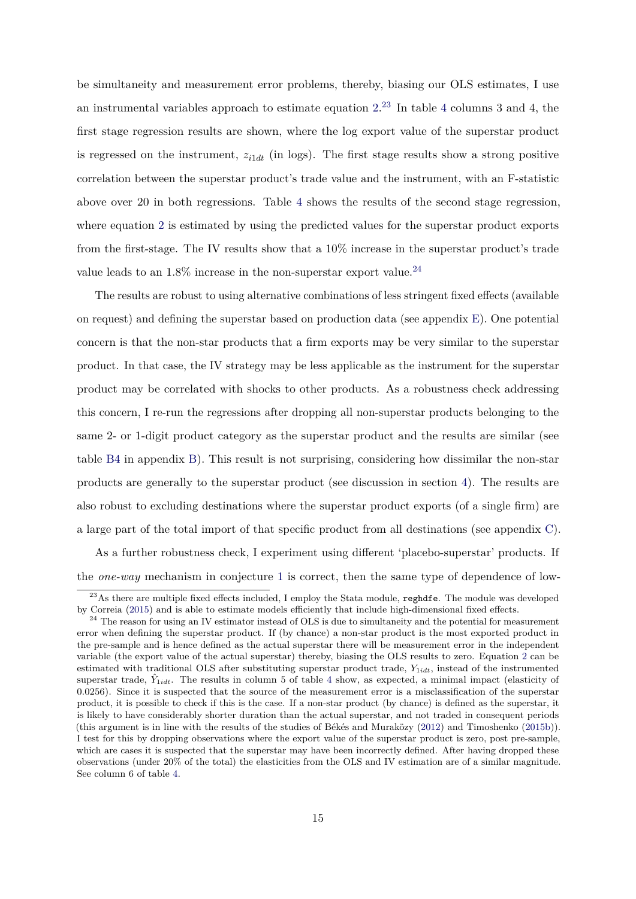be simultaneity and measurement error problems, thereby, biasing our OLS estimates, I use an instrumental variables approach to estimate equation  $2^{23}$  $2^{23}$  $2^{23}$  In table [4](#page-15-0) columns 3 and 4, the first stage regression results are shown, where the log export value of the superstar product is regressed on the instrument,  $z_{i1dt}$  (in logs). The first stage results show a strong positive correlation between the superstar product's trade value and the instrument, with an F-statistic above over 20 in both regressions. Table [4](#page-15-0) shows the results of the second stage regression, where equation [2](#page-12-2) is estimated by using the predicted values for the superstar product exports from the first-stage. The IV results show that a 10% increase in the superstar product's trade value leads to an  $1.8\%$  increase in the non-superstar export value.<sup>[24](#page-14-1)</sup>

The results are robust to using alternative combinations of less stringent fixed effects (available on request) and defining the superstar based on production data (see appendix [E\)](#page-36-0). One potential concern is that the non-star products that a firm exports may be very similar to the superstar product. In that case, the IV strategy may be less applicable as the instrument for the superstar product may be correlated with shocks to other products. As a robustness check addressing this concern, I re-run the regressions after dropping all non-superstar products belonging to the same 2- or 1-digit product category as the superstar product and the results are similar (see table [B4](#page-32-0) in appendix [B\)](#page-30-1). This result is not surprising, considering how dissimilar the non-star products are generally to the superstar product (see discussion in section [4\)](#page-11-0). The results are also robust to excluding destinations where the superstar product exports (of a single firm) are a large part of the total import of that specific product from all destinations (see appendix [C\)](#page-33-0).

As a further robustness check, I experiment using different 'placebo-superstar' products. If the *one-way* mechanism in conjecture [1](#page-8-2) is correct, then the same type of dependence of low-

<span id="page-14-0"></span><sup>&</sup>lt;sup>23</sup>As there are multiple fixed effects included, I employ the Stata module, reghdfe. The module was developed by Correia [\(2015\)](#page-24-12) and is able to estimate models efficiently that include high-dimensional fixed effects.

<span id="page-14-1"></span> $^{24}$  The reason for using an IV estimator instead of OLS is due to simultaneity and the potential for measurement error when defining the superstar product. If (by chance) a non-star product is the most exported product in the pre-sample and is hence defined as the actual superstar there will be measurement error in the independent variable (the export value of the actual superstar) thereby, biasing the OLS results to zero. Equation [2](#page-12-2) can be estimated with traditional OLS after substituting superstar product trade, *Y*1*idt*, instead of the instrumented superstar trade,  $\hat{Y}_{1idt}$ . The results in column 5 of table [4](#page-15-0) show, as expected, a minimal impact (elasticity of 0.0256). Since it is suspected that the source of the measurement error is a misclassification of the superstar product, it is possible to check if this is the case. If a non-star product (by chance) is defined as the superstar, it is likely to have considerably shorter duration than the actual superstar, and not traded in consequent periods (this argument is in line with the results of the studies of Békés and Muraközy [\(2012\)](#page-23-7) and Timoshenko [\(2015b\)](#page-26-7)). I test for this by dropping observations where the export value of the superstar product is zero, post pre-sample, which are cases it is suspected that the superstar may have been incorrectly defined. After having dropped these observations (under 20% of the total) the elasticities from the OLS and IV estimation are of a similar magnitude. See column 6 of table [4.](#page-15-0)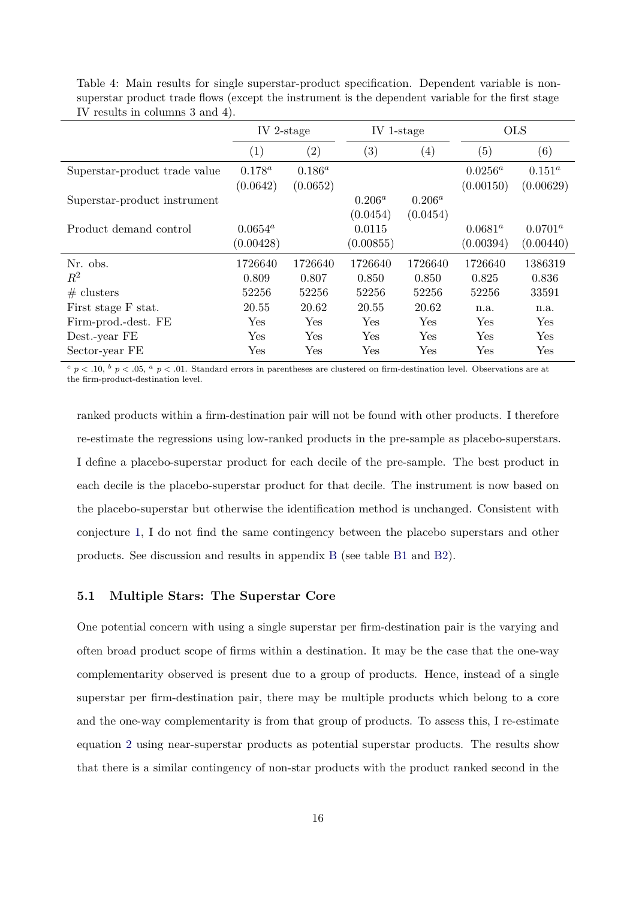|                               | IV 2-stage              |                         | IV 1-stage            |                       |                         | <b>OLS</b>              |
|-------------------------------|-------------------------|-------------------------|-----------------------|-----------------------|-------------------------|-------------------------|
|                               | $\left( 1\right)$       | $\rm(2)$                | $\left( 3\right)$     | $\left(4\right)$      | (5)                     | (6)                     |
| Superstar-product trade value | $0.178^{a}$<br>(0.0642) | $0.186^{a}$<br>(0.0652) |                       |                       | $0.0256^a$<br>(0.00150) | $0.151^a$<br>(0.00629)  |
| Superstar-product instrument  |                         |                         | $0.206^a$<br>(0.0454) | $0.206^a$<br>(0.0454) |                         |                         |
| Product demand control        | $0.0654^a$<br>(0.00428) |                         | 0.0115<br>(0.00855)   |                       | $0.0681^a$<br>(0.00394) | $0.0701^a$<br>(0.00440) |
| Nr. obs.                      | 1726640                 | 1726640                 | 1726640               | 1726640               | 1726640                 | 1386319                 |
| $\,R^2$                       | 0.809                   | 0.807                   | 0.850                 | 0.850                 | 0.825                   | 0.836                   |
| # clusters                    | 52256                   | 52256                   | 52256                 | 52256                 | 52256                   | 33591                   |
| First stage F stat.           | 20.55                   | 20.62                   | 20.55                 | 20.62                 | n.a.                    | n.a.                    |
| Firm-prod.-dest. FE           | Yes                     | Yes                     | Yes                   | Yes                   | Yes                     | Yes                     |
| Dest.-year FE                 | Yes                     | Yes                     | Yes                   | Yes                   | Yes                     | Yes                     |
| Sector-year FE                | $\operatorname{Yes}$    | Yes                     | Yes                   | Yes                   | Yes                     | Yes                     |

<span id="page-15-0"></span>Table 4: Main results for single superstar-product specification. Dependent variable is nonsuperstar product trade flows (except the instrument is the dependent variable for the first stage IV results in columns 3 and 4).

 $c$  *p* < .10, <sup>*b*</sup> *p* < .05, <sup>*a*</sup> *p* < .01. Standard errors in parentheses are clustered on firm-destination level. Observations are at the firm-product-destination level.

ranked products within a firm-destination pair will not be found with other products. I therefore re-estimate the regressions using low-ranked products in the pre-sample as placebo-superstars. I define a placebo-superstar product for each decile of the pre-sample. The best product in each decile is the placebo-superstar product for that decile. The instrument is now based on the placebo-superstar but otherwise the identification method is unchanged. Consistent with conjecture [1,](#page-8-2) I do not find the same contingency between the placebo superstars and other products. See discussion and results in appendix [B](#page-30-1) (see table [B1](#page-31-0) and [B2\)](#page-31-1).

### **5.1 Multiple Stars: The Superstar Core**

One potential concern with using a single superstar per firm-destination pair is the varying and often broad product scope of firms within a destination. It may be the case that the one-way complementarity observed is present due to a group of products. Hence, instead of a single superstar per firm-destination pair, there may be multiple products which belong to a core and the one-way complementarity is from that group of products. To assess this, I re-estimate equation [2](#page-12-2) using near-superstar products as potential superstar products. The results show that there is a similar contingency of non-star products with the product ranked second in the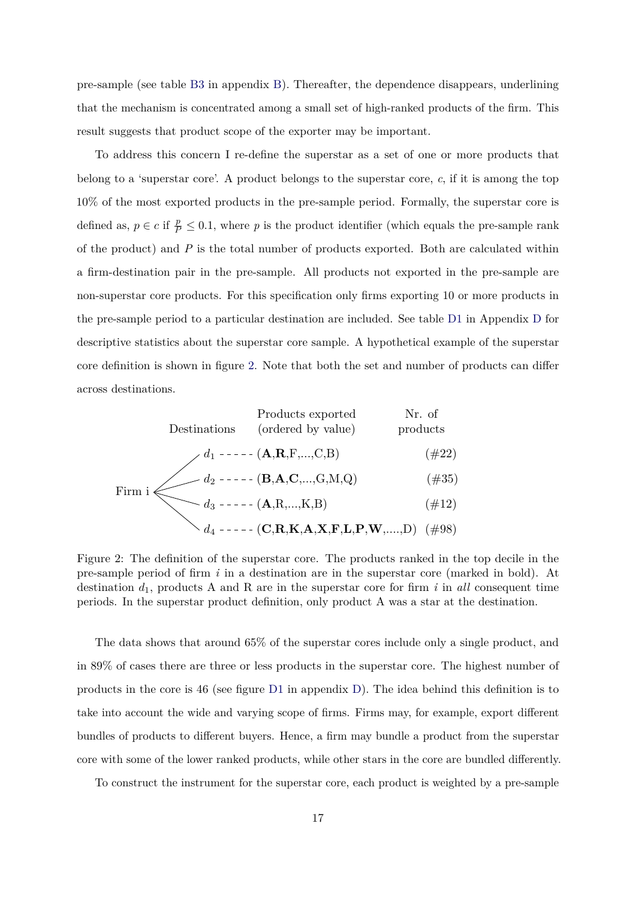pre-sample (see table [B3](#page-32-1) in appendix [B\)](#page-30-1). Thereafter, the dependence disappears, underlining that the mechanism is concentrated among a small set of high-ranked products of the firm. This result suggests that product scope of the exporter may be important.

To address this concern I re-define the superstar as a set of one or more products that belong to a 'superstar core'. A product belongs to the superstar core, *c*, if it is among the top 10% of the most exported products in the pre-sample period. Formally, the superstar core is defined as,  $p \in c$  if  $\frac{p}{p} \leq 0.1$ , where p is the product identifier (which equals the pre-sample rank of the product) and *P* is the total number of products exported. Both are calculated within a firm-destination pair in the pre-sample. All products not exported in the pre-sample are non-superstar core products. For this specification only firms exporting 10 or more products in the pre-sample period to a particular destination are included. See table [D1](#page-34-0) in Appendix [D](#page-34-1) for descriptive statistics about the superstar core sample. A hypothetical example of the superstar core definition is shown in figure [2.](#page-16-0) Note that both the set and number of products can differ across destinations.

<span id="page-16-0"></span>

| Products exported                     | Nr. of<br>products        |                    |
|---------------------------------------|---------------------------|--------------------|
| Destinations                          | (ordered by value)        | Nr. of<br>products |
| $d_1$ ----- (A,R,F,...,C,B)           | (#22)                     |                    |
| $d_2$ ----- (B,A,C,...,G,M,Q)         | (#35)                     |                    |
| Fixm i                                | $d_3$ ----- (A,R,...,K,B) | (#12)              |
| $d_4$ ----- (C,R,K,A,X,F,L,P,W,...,D) | (#98)                     |                    |

Figure 2: The definition of the superstar core. The products ranked in the top decile in the pre-sample period of firm *i* in a destination are in the superstar core (marked in bold). At destination *d*1, products A and R are in the superstar core for firm *i* in *all* consequent time periods. In the superstar product definition, only product A was a star at the destination.

The data shows that around 65% of the superstar cores include only a single product, and in 89% of cases there are three or less products in the superstar core. The highest number of products in the core is 46 (see figure [D1](#page-34-2) in appendix [D\)](#page-34-1). The idea behind this definition is to take into account the wide and varying scope of firms. Firms may, for example, export different bundles of products to different buyers. Hence, a firm may bundle a product from the superstar core with some of the lower ranked products, while other stars in the core are bundled differently.

To construct the instrument for the superstar core, each product is weighted by a pre-sample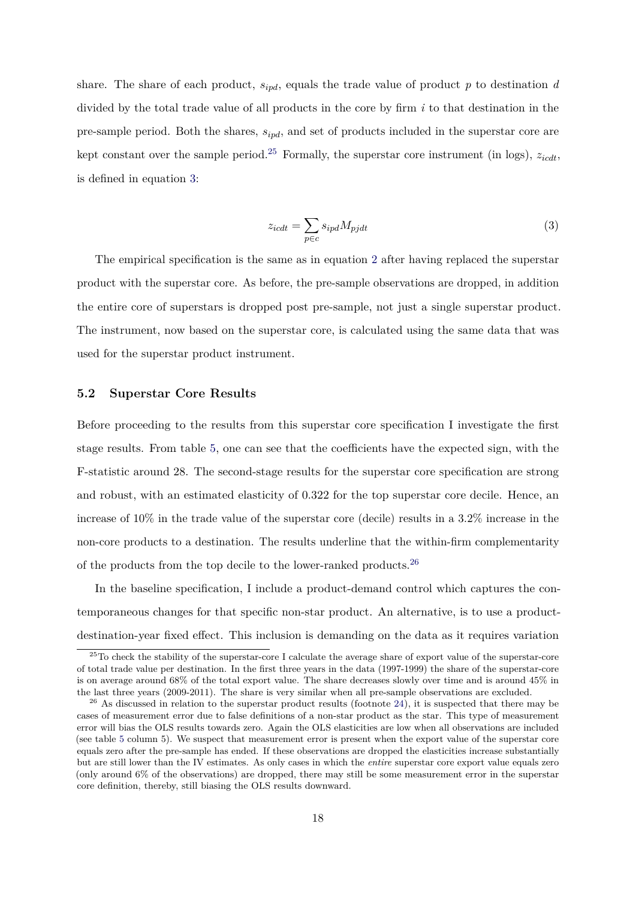share. The share of each product, *sipd*, equals the trade value of product *p* to destination *d* divided by the total trade value of all products in the core by firm *i* to that destination in the pre-sample period. Both the shares, *sipd*, and set of products included in the superstar core are kept constant over the sample period.<sup>[25](#page-17-0)</sup> Formally, the superstar core instrument (in logs),  $z_{icdt}$ , is defined in equation [3:](#page-17-1)

<span id="page-17-1"></span>
$$
z_{icdt} = \sum_{p \in c} s_{ipd} M_{pjdt} \tag{3}
$$

The empirical specification is the same as in equation [2](#page-12-2) after having replaced the superstar product with the superstar core. As before, the pre-sample observations are dropped, in addition the entire core of superstars is dropped post pre-sample, not just a single superstar product. The instrument, now based on the superstar core, is calculated using the same data that was used for the superstar product instrument.

## **5.2 Superstar Core Results**

Before proceeding to the results from this superstar core specification I investigate the first stage results. From table [5,](#page-18-0) one can see that the coefficients have the expected sign, with the F-statistic around 28. The second-stage results for the superstar core specification are strong and robust, with an estimated elasticity of 0.322 for the top superstar core decile. Hence, an increase of 10% in the trade value of the superstar core (decile) results in a 3.2% increase in the non-core products to a destination. The results underline that the within-firm complementarity of the products from the top decile to the lower-ranked products.[26](#page-17-2)

In the baseline specification, I include a product-demand control which captures the contemporaneous changes for that specific non-star product. An alternative, is to use a productdestination-year fixed effect. This inclusion is demanding on the data as it requires variation

<span id="page-17-0"></span> $^{25}$ To check the stability of the superstar-core I calculate the average share of export value of the superstar-core of total trade value per destination. In the first three years in the data (1997-1999) the share of the superstar-core is on average around 68% of the total export value. The share decreases slowly over time and is around 45% in the last three years (2009-2011). The share is very similar when all pre-sample observations are excluded.

<span id="page-17-2"></span> $^{26}$  As discussed in relation to the superstar product results (footnote [24\)](#page-14-1), it is suspected that there may be cases of measurement error due to false definitions of a non-star product as the star. This type of measurement error will bias the OLS results towards zero. Again the OLS elasticities are low when all observations are included (see table [5](#page-18-0) column 5). We suspect that measurement error is present when the export value of the superstar core equals zero after the pre-sample has ended. If these observations are dropped the elasticities increase substantially but are still lower than the IV estimates. As only cases in which the *entire* superstar core export value equals zero (only around 6% of the observations) are dropped, there may still be some measurement error in the superstar core definition, thereby, still biasing the OLS results downward.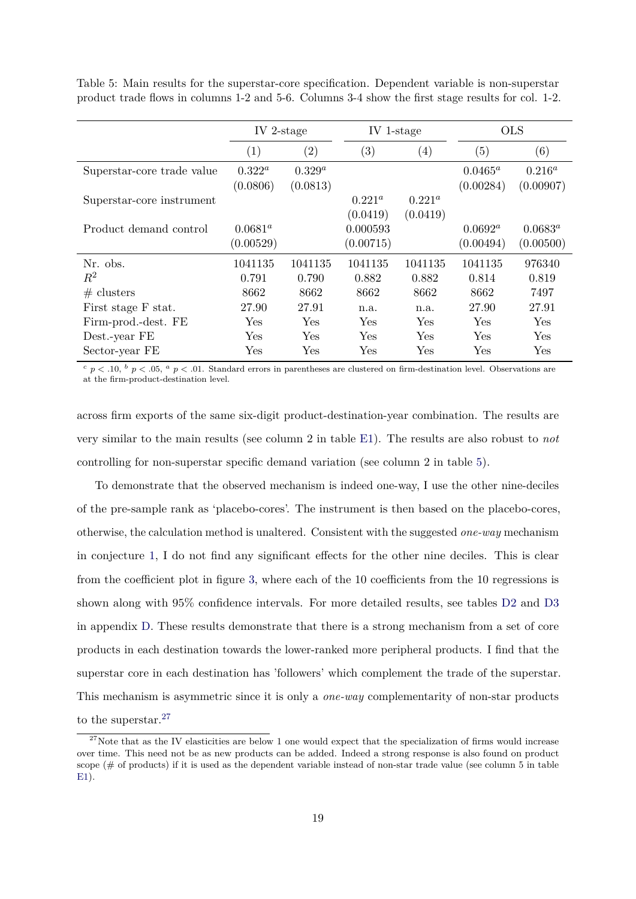<span id="page-18-0"></span>

|  |  |  | Table 5: Main results for the superstar-core specification. Dependent variable is non-superstar    |  |  |  |  |
|--|--|--|----------------------------------------------------------------------------------------------------|--|--|--|--|
|  |  |  | product trade flows in columns 1-2 and 5-6. Columns 3-4 show the first stage results for col. 1-2. |  |  |  |  |

|                            | IV 2-stage              |                         | IV 1-stage            |                       | <b>OLS</b>              |                         |
|----------------------------|-------------------------|-------------------------|-----------------------|-----------------------|-------------------------|-------------------------|
|                            | (1)                     | $\left( 2\right)$       | $\left( 3\right)$     | $\left( 4\right)$     | $\left( 5\right)$       | (6)                     |
| Superstar-core trade value | $0.322^a$<br>(0.0806)   | $0.329^{a}$<br>(0.0813) |                       |                       | $0.0465^a$<br>(0.00284) | $0.216^a$<br>(0.00907)  |
| Superstar-core instrument  |                         |                         | $0.221^a$<br>(0.0419) | $0.221^a$<br>(0.0419) |                         |                         |
| Product demand control     | $0.0681^a$<br>(0.00529) |                         | 0.000593<br>(0.00715) |                       | $0.0692^a$<br>(0.00494) | $0.0683^a$<br>(0.00500) |
| Nr. obs.                   | 1041135                 | 1041135                 | 1041135               | 1041135               | 1041135                 | 976340                  |
| $\,R^2$                    | 0.791                   | 0.790                   | 0.882                 | 0.882                 | 0.814                   | 0.819                   |
| # clusters                 | 8662                    | 8662                    | 8662                  | 8662                  | 8662                    | 7497                    |
| First stage F stat.        | 27.90                   | 27.91                   | n.a.                  | n.a.                  | 27.90                   | 27.91                   |
| Firm-prod.-dest. FE        | Yes                     | Yes                     | Yes                   | Yes                   | Yes                     | Yes                     |
| Dest.-year FE              | Yes                     | Yes                     | Yes                   | Yes                   | Yes                     | Yes                     |
| Sector-year FE             | Yes                     | Yes                     | Yes                   | Yes                   | Yes                     | Yes                     |

 $c$  *p* < .10,  $b$  *p* < .05,  $a$  *p* < .01. Standard errors in parentheses are clustered on firm-destination level. Observations are at the firm-product-destination level.

across firm exports of the same six-digit product-destination-year combination. The results are very similar to the main results (see column 2 in table [E1\)](#page-37-0). The results are also robust to *not* controlling for non-superstar specific demand variation (see column 2 in table [5\)](#page-18-0).

To demonstrate that the observed mechanism is indeed one-way, I use the other nine-deciles of the pre-sample rank as 'placebo-cores'. The instrument is then based on the placebo-cores, otherwise, the calculation method is unaltered. Consistent with the suggested *one-way* mechanism in conjecture [1,](#page-8-2) I do not find any significant effects for the other nine deciles. This is clear from the coefficient plot in figure [3,](#page-19-0) where each of the 10 coefficients from the 10 regressions is shown along with 95% confidence intervals. For more detailed results, see tables [D2](#page-35-0) and [D3](#page-35-1) in appendix [D.](#page-34-1) These results demonstrate that there is a strong mechanism from a set of core products in each destination towards the lower-ranked more peripheral products. I find that the superstar core in each destination has 'followers' which complement the trade of the superstar. This mechanism is asymmetric since it is only a *one-way* complementarity of non-star products to the superstar.[27](#page-18-1)

<span id="page-18-1"></span> $27$ Note that as the IV elasticities are below 1 one would expect that the specialization of firms would increase over time. This need not be as new products can be added. Indeed a strong response is also found on product scope  $(\# \text{ of products})$  if it is used as the dependent variable instead of non-star trade value (see column 5 in table [E1\)](#page-37-0).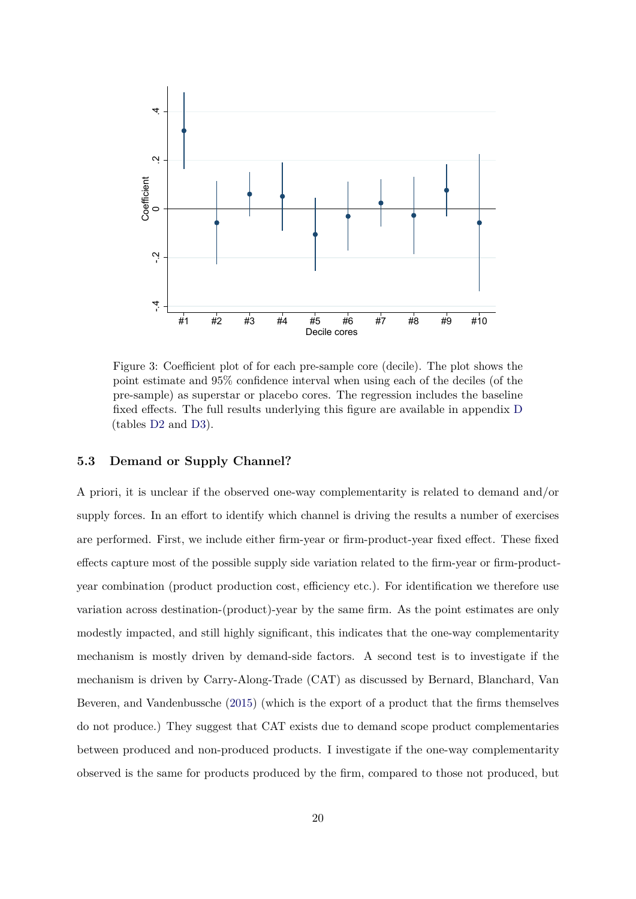<span id="page-19-0"></span>

Figure 3: Coefficient plot of for each pre-sample core (decile). The plot shows the point estimate and 95% confidence interval when using each of the deciles (of the pre-sample) as superstar or placebo cores. The regression includes the baseline fixed effects. The full results underlying this figure are available in appendix [D](#page-34-1) (tables [D2](#page-35-0) and [D3\)](#page-35-1).

## **5.3 Demand or Supply Channel?**

A priori, it is unclear if the observed one-way complementarity is related to demand and/or supply forces. In an effort to identify which channel is driving the results a number of exercises are performed. First, we include either firm-year or firm-product-year fixed effect. These fixed effects capture most of the possible supply side variation related to the firm-year or firm-productyear combination (product production cost, efficiency etc.). For identification we therefore use variation across destination-(product)-year by the same firm. As the point estimates are only modestly impacted, and still highly significant, this indicates that the one-way complementarity mechanism is mostly driven by demand-side factors. A second test is to investigate if the mechanism is driven by Carry-Along-Trade (CAT) as discussed by Bernard, Blanchard, Van Beveren, and Vandenbussche [\(2015\)](#page-23-5) (which is the export of a product that the firms themselves do not produce.) They suggest that CAT exists due to demand scope product complementaries between produced and non-produced products. I investigate if the one-way complementarity observed is the same for products produced by the firm, compared to those not produced, but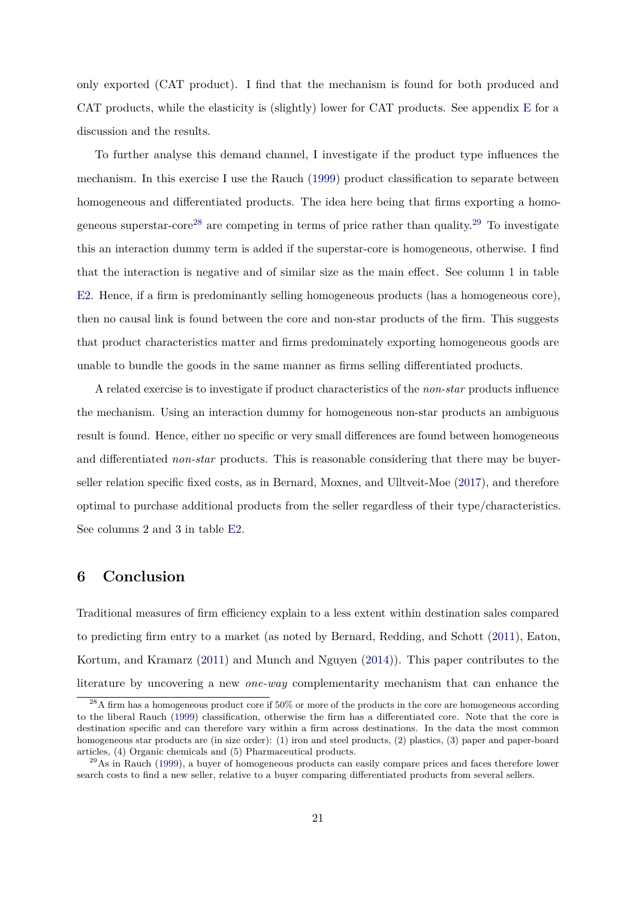only exported (CAT product). I find that the mechanism is found for both produced and CAT products, while the elasticity is (slightly) lower for CAT products. See appendix [E](#page-36-0) for a discussion and the results.

To further analyse this demand channel, I investigate if the product type influences the mechanism. In this exercise I use the Rauch [\(1999\)](#page-26-6) product classification to separate between homogeneous and differentiated products. The idea here being that firms exporting a homo-geneous superstar-core<sup>[28](#page-20-1)</sup> are competing in terms of price rather than quality.<sup>[29](#page-20-2)</sup> To investigate this an interaction dummy term is added if the superstar-core is homogeneous, otherwise. I find that the interaction is negative and of similar size as the main effect. See column 1 in table [E2.](#page-38-0) Hence, if a firm is predominantly selling homogeneous products (has a homogeneous core), then no causal link is found between the core and non-star products of the firm. This suggests that product characteristics matter and firms predominately exporting homogeneous goods are unable to bundle the goods in the same manner as firms selling differentiated products.

A related exercise is to investigate if product characteristics of the *non-star* products influence the mechanism. Using an interaction dummy for homogeneous non-star products an ambiguous result is found. Hence, either no specific or very small differences are found between homogeneous and differentiated *non-star* products. This is reasonable considering that there may be buyerseller relation specific fixed costs, as in Bernard, Moxnes, and Ulltveit-Moe [\(2017\)](#page-23-14), and therefore optimal to purchase additional products from the seller regardless of their type/characteristics. See columns 2 and 3 in table [E2.](#page-38-0)

## <span id="page-20-0"></span>**6 Conclusion**

Traditional measures of firm efficiency explain to a less extent within destination sales compared to predicting firm entry to a market (as noted by Bernard, Redding, and Schott [\(2011\)](#page-23-1), Eaton, Kortum, and Kramarz [\(2011\)](#page-24-4) and Munch and Nguyen [\(2014\)](#page-26-0)). This paper contributes to the literature by uncovering a new *one-way* complementarity mechanism that can enhance the

<span id="page-20-1"></span> $^{28}$ A firm has a homogeneous product core if  $50\%$  or more of the products in the core are homogeneous according to the liberal Rauch [\(1999\)](#page-26-6) classification, otherwise the firm has a differentiated core. Note that the core is destination specific and can therefore vary within a firm across destinations. In the data the most common homogeneous star products are (in size order): (1) iron and steel products, (2) plastics, (3) paper and paper-board articles, (4) Organic chemicals and (5) Pharmaceutical products.

<span id="page-20-2"></span> $^{29}$ As in Rauch [\(1999\)](#page-26-6), a buyer of homogeneous products can easily compare prices and faces therefore lower search costs to find a new seller, relative to a buyer comparing differentiated products from several sellers.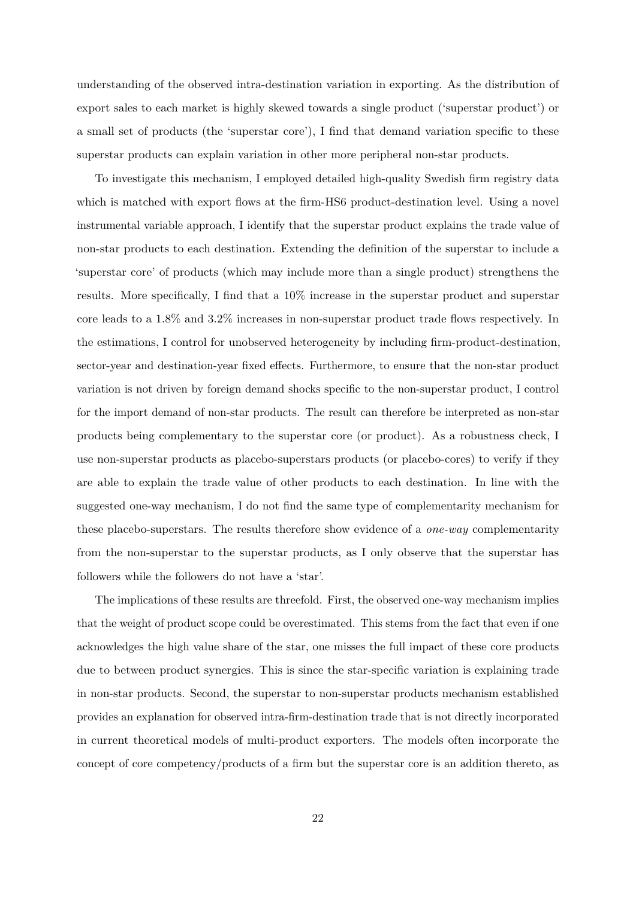understanding of the observed intra-destination variation in exporting. As the distribution of export sales to each market is highly skewed towards a single product ('superstar product') or a small set of products (the 'superstar core'), I find that demand variation specific to these superstar products can explain variation in other more peripheral non-star products.

To investigate this mechanism, I employed detailed high-quality Swedish firm registry data which is matched with export flows at the firm-HS6 product-destination level. Using a novel instrumental variable approach, I identify that the superstar product explains the trade value of non-star products to each destination. Extending the definition of the superstar to include a 'superstar core' of products (which may include more than a single product) strengthens the results. More specifically, I find that a 10% increase in the superstar product and superstar core leads to a 1.8% and 3.2% increases in non-superstar product trade flows respectively. In the estimations, I control for unobserved heterogeneity by including firm-product-destination, sector-year and destination-year fixed effects. Furthermore, to ensure that the non-star product variation is not driven by foreign demand shocks specific to the non-superstar product, I control for the import demand of non-star products. The result can therefore be interpreted as non-star products being complementary to the superstar core (or product). As a robustness check, I use non-superstar products as placebo-superstars products (or placebo-cores) to verify if they are able to explain the trade value of other products to each destination. In line with the suggested one-way mechanism, I do not find the same type of complementarity mechanism for these placebo-superstars. The results therefore show evidence of a *one-way* complementarity from the non-superstar to the superstar products, as I only observe that the superstar has followers while the followers do not have a 'star'.

The implications of these results are threefold. First, the observed one-way mechanism implies that the weight of product scope could be overestimated. This stems from the fact that even if one acknowledges the high value share of the star, one misses the full impact of these core products due to between product synergies. This is since the star-specific variation is explaining trade in non-star products. Second, the superstar to non-superstar products mechanism established provides an explanation for observed intra-firm-destination trade that is not directly incorporated in current theoretical models of multi-product exporters. The models often incorporate the concept of core competency/products of a firm but the superstar core is an addition thereto, as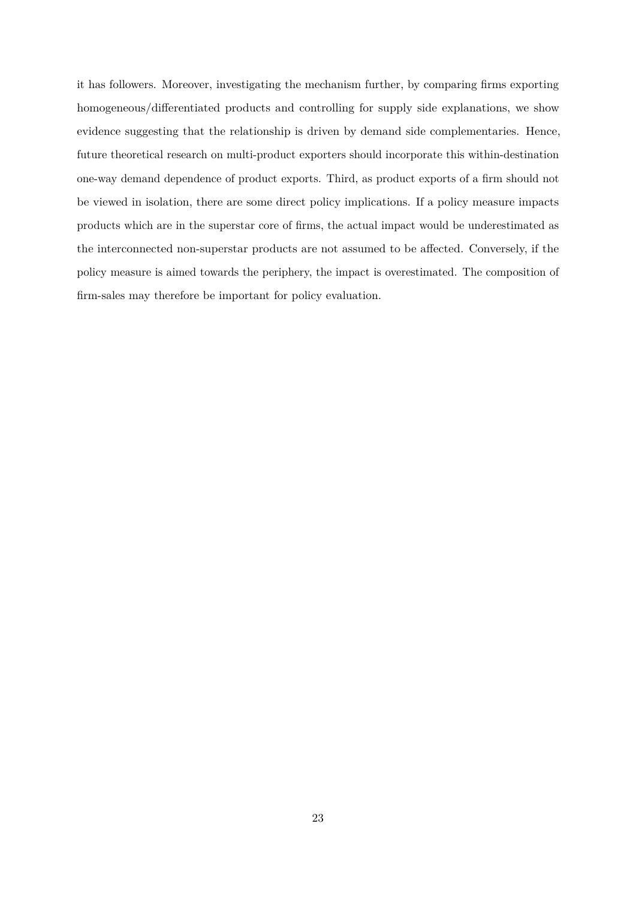it has followers. Moreover, investigating the mechanism further, by comparing firms exporting homogeneous/differentiated products and controlling for supply side explanations, we show evidence suggesting that the relationship is driven by demand side complementaries. Hence, future theoretical research on multi-product exporters should incorporate this within-destination one-way demand dependence of product exports. Third, as product exports of a firm should not be viewed in isolation, there are some direct policy implications. If a policy measure impacts products which are in the superstar core of firms, the actual impact would be underestimated as the interconnected non-superstar products are not assumed to be affected. Conversely, if the policy measure is aimed towards the periphery, the impact is overestimated. The composition of firm-sales may therefore be important for policy evaluation.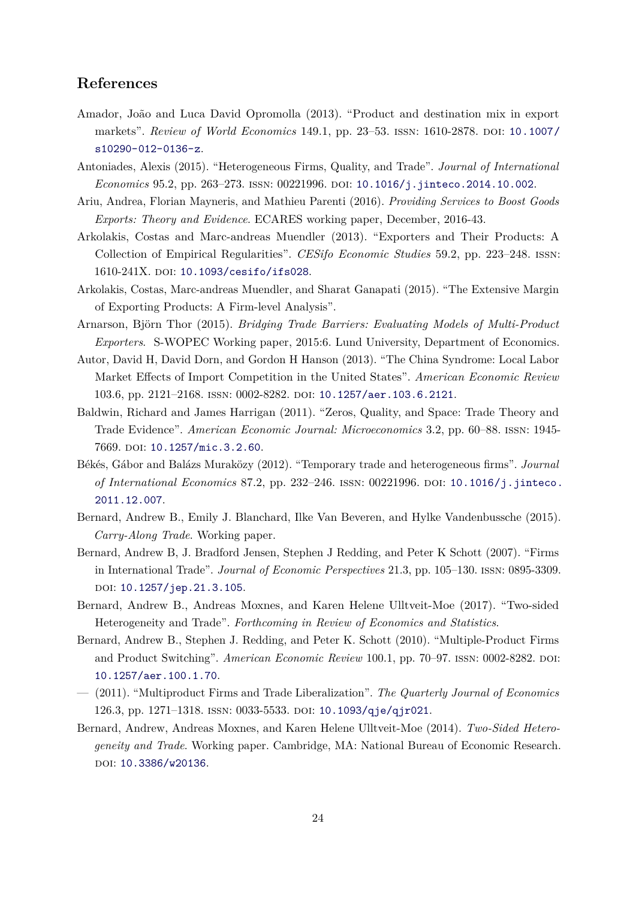# **References**

- <span id="page-23-4"></span>Amador, João and Luca David Opromolla (2013). "Product and destination mix in export markets". *Review of World Economics* 149.1, pp. 23–53. issn: 1610-2878. doi: [10.1007/](https://doi.org/10.1007/s10290-012-0136-z) [s10290-012-0136-z](https://doi.org/10.1007/s10290-012-0136-z).
- <span id="page-23-10"></span>Antoniades, Alexis (2015). "Heterogeneous Firms, Quality, and Trade". *Journal of International Economics* 95.2, pp. 263–273. issn: 00221996. doi: [10.1016/j.jinteco.2014.10.002](https://doi.org/10.1016/j.jinteco.2014.10.002).
- <span id="page-23-6"></span>Ariu, Andrea, Florian Mayneris, and Mathieu Parenti (2016). *Providing Services to Boost Goods Exports: Theory and Evidence*. ECARES working paper, December, 2016-43.
- <span id="page-23-11"></span>Arkolakis, Costas and Marc-andreas Muendler (2013). "Exporters and Their Products: A Collection of Empirical Regularities". *CESifo Economic Studies* 59.2, pp. 223–248. issn: 1610-241X. DOI: [10.1093/cesifo/ifs028](https://doi.org/10.1093/cesifo/ifs028).
- <span id="page-23-2"></span>Arkolakis, Costas, Marc-andreas Muendler, and Sharat Ganapati (2015). "The Extensive Margin of Exporting Products: A Firm-level Analysis".
- <span id="page-23-3"></span>Arnarson, Björn Thor (2015). *Bridging Trade Barriers: Evaluating Models of Multi-Product Exporters*. S-WOPEC Working paper, 2015:6. Lund University, Department of Economics.
- <span id="page-23-13"></span>Autor, David H, David Dorn, and Gordon H Hanson (2013). "The China Syndrome: Local Labor Market Effects of Import Competition in the United States". *American Economic Review* 103.6, pp. 2121–2168. issn: 0002-8282. doi: [10.1257/aer.103.6.2121](https://doi.org/10.1257/aer.103.6.2121).
- <span id="page-23-9"></span>Baldwin, Richard and James Harrigan (2011). "Zeros, Quality, and Space: Trade Theory and Trade Evidence". *American Economic Journal: Microeconomics* 3.2, pp. 60–88. issn: 1945- 7669. doi: [10.1257/mic.3.2.60](https://doi.org/10.1257/mic.3.2.60).
- <span id="page-23-7"></span>Békés, Gábor and Balázs Muraközy (2012). "Temporary trade and heterogeneous firms". *Journal of International Economics* 87.2, pp. 232-246. ISSN: 00221996. DOI: [10.1016/j.jinteco.](https://doi.org/10.1016/j.jinteco.2011.12.007) [2011.12.007](https://doi.org/10.1016/j.jinteco.2011.12.007).
- <span id="page-23-5"></span>Bernard, Andrew B., Emily J. Blanchard, Ilke Van Beveren, and Hylke Vandenbussche (2015). *Carry-Along Trade*. Working paper.
- <span id="page-23-0"></span>Bernard, Andrew B, J. Bradford Jensen, Stephen J Redding, and Peter K Schott (2007). "Firms in International Trade". *Journal of Economic Perspectives* 21.3, pp. 105–130. issn: 0895-3309. DOI: [10.1257/jep.21.3.105](https://doi.org/10.1257/jep.21.3.105).
- <span id="page-23-14"></span>Bernard, Andrew B., Andreas Moxnes, and Karen Helene Ulltveit-Moe (2017). "Two-sided Heterogeneity and Trade". *Forthcoming in Review of Economics and Statistics*.
- <span id="page-23-8"></span>Bernard, Andrew B., Stephen J. Redding, and Peter K. Schott (2010). "Multiple-Product Firms and Product Switching". *American Economic Review* 100.1, pp. 70–97. ISSN: 0002-8282. DOI: [10.1257/aer.100.1.70](https://doi.org/10.1257/aer.100.1.70).
- <span id="page-23-1"></span>— (2011). "Multiproduct Firms and Trade Liberalization". *The Quarterly Journal of Economics* 126.3, pp. 1271–1318. issn: 0033-5533. doi: [10.1093/qje/qjr021](https://doi.org/10.1093/qje/qjr021).
- <span id="page-23-12"></span>Bernard, Andrew, Andreas Moxnes, and Karen Helene Ulltveit-Moe (2014). *Two-Sided Heterogeneity and Trade*. Working paper. Cambridge, MA: National Bureau of Economic Research. DOI: [10.3386/w20136](https://doi.org/10.3386/w20136).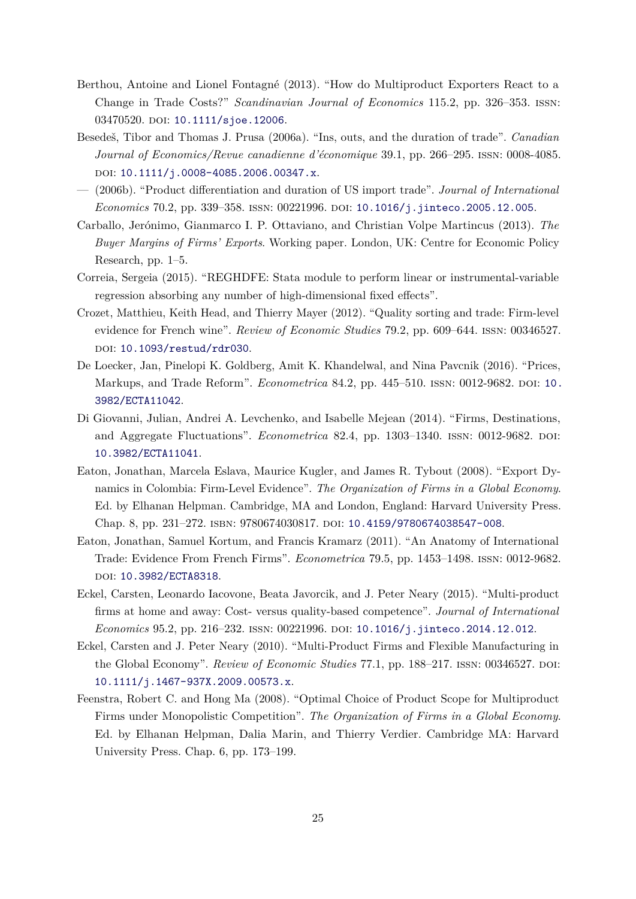- <span id="page-24-2"></span>Berthou, Antoine and Lionel Fontagné (2013). "How do Multiproduct Exporters React to a Change in Trade Costs?" *Scandinavian Journal of Economics* 115.2, pp. 326–353. issn: 03470520. DOI: [10.1111/sjoe.12006](https://doi.org/10.1111/sjoe.12006).
- <span id="page-24-5"></span>Besedeš, Tibor and Thomas J. Prusa (2006a). "Ins, outs, and the duration of trade". *Canadian Journal of Economics/Revue canadienne d'économique* 39.1, pp. 266–295. issn: 0008-4085. doi: [10.1111/j.0008-4085.2006.00347.x](https://doi.org/10.1111/j.0008-4085.2006.00347.x).
- <span id="page-24-6"></span>— (2006b). "Product differentiation and duration of US import trade". *Journal of International Economics* 70.2, pp. 339-358. ISSN: 00221996. DOI: [10.1016/j.jinteco.2005.12.005](https://doi.org/10.1016/j.jinteco.2005.12.005).
- <span id="page-24-11"></span>Carballo, Jerónimo, Gianmarco I. P. Ottaviano, and Christian Volpe Martincus (2013). *The Buyer Margins of Firms' Exports*. Working paper. London, UK: Centre for Economic Policy Research, pp. 1–5.
- <span id="page-24-12"></span>Correia, Sergeia (2015). "REGHDFE: Stata module to perform linear or instrumental-variable regression absorbing any number of high-dimensional fixed effects".
- <span id="page-24-7"></span>Crozet, Matthieu, Keith Head, and Thierry Mayer (2012). "Quality sorting and trade: Firm-level evidence for French wine". *Review of Economic Studies* 79.2, pp. 609–644. issn: 00346527. DOI: [10.1093/restud/rdr030](https://doi.org/10.1093/restud/rdr030).
- <span id="page-24-9"></span>De Loecker, Jan, Pinelopi K. Goldberg, Amit K. Khandelwal, and Nina Pavcnik (2016). "Prices, Markups, and Trade Reform". *Econometrica* 84.2, pp. 445–510. issn: 0012-9682. doi: [10.](https://doi.org/10.3982/ECTA11042) [3982/ECTA11042](https://doi.org/10.3982/ECTA11042).
- <span id="page-24-3"></span>Di Giovanni, Julian, Andrei A. Levchenko, and Isabelle Mejean (2014). "Firms, Destinations, and Aggregate Fluctuations". *Econometrica* 82.4, pp. 1303–1340. ISSN: 0012-9682. DOI: [10.3982/ECTA11041](https://doi.org/10.3982/ECTA11041).
- <span id="page-24-8"></span>Eaton, Jonathan, Marcela Eslava, Maurice Kugler, and James R. Tybout (2008). "Export Dynamics in Colombia: Firm-Level Evidence". *The Organization of Firms in a Global Economy*. Ed. by Elhanan Helpman. Cambridge, MA and London, England: Harvard University Press. Chap. 8, pp. 231–272. isbn: 9780674030817. doi: [10.4159/9780674038547-008](https://doi.org/10.4159/9780674038547-008).
- <span id="page-24-4"></span>Eaton, Jonathan, Samuel Kortum, and Francis Kramarz (2011). "An Anatomy of International Trade: Evidence From French Firms". *Econometrica* 79.5, pp. 1453–1498. issn: 0012-9682. doi: [10.3982/ECTA8318](https://doi.org/10.3982/ECTA8318).
- <span id="page-24-10"></span>Eckel, Carsten, Leonardo Iacovone, Beata Javorcik, and J. Peter Neary (2015). "Multi-product firms at home and away: Cost- versus quality-based competence". *Journal of International Economics* 95.2, pp. 216–232. ISSN: 00221996. DOI: 10.1016/j. jinteco.2014.12.012.
- <span id="page-24-1"></span>Eckel, Carsten and J. Peter Neary (2010). "Multi-Product Firms and Flexible Manufacturing in the Global Economy". *Review of Economic Studies* 77.1, pp. 188–217. ISSN: 00346527. DOI: [10.1111/j.1467-937X.2009.00573.x](https://doi.org/10.1111/j.1467-937X.2009.00573.x).
- <span id="page-24-0"></span>Feenstra, Robert C. and Hong Ma (2008). "Optimal Choice of Product Scope for Multiproduct Firms under Monopolistic Competition". *The Organization of Firms in a Global Economy*. Ed. by Elhanan Helpman, Dalia Marin, and Thierry Verdier. Cambridge MA: Harvard University Press. Chap. 6, pp. 173–199.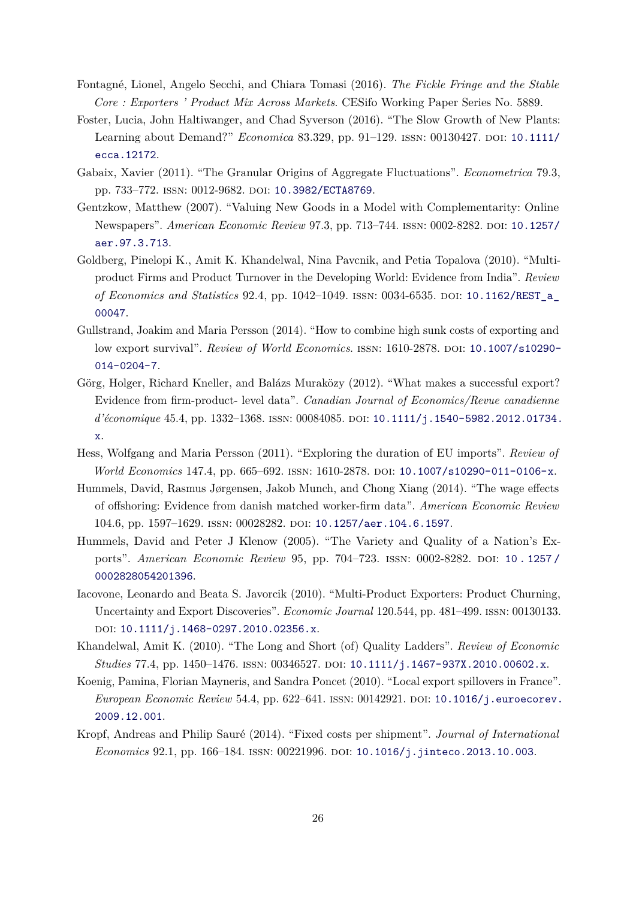- <span id="page-25-2"></span>Fontagné, Lionel, Angelo Secchi, and Chiara Tomasi (2016). *The Fickle Fringe and the Stable Core : Exporters ' Product Mix Across Markets*. CESifo Working Paper Series No. 5889.
- <span id="page-25-12"></span>Foster, Lucia, John Haltiwanger, and Chad Syverson (2016). "The Slow Growth of New Plants: Learning about Demand?" *Economica* 83.329, pp. 91–129. ISSN: 00130427. DOI: [10.1111/](https://doi.org/10.1111/ecca.12172) [ecca.12172](https://doi.org/10.1111/ecca.12172).
- <span id="page-25-0"></span>Gabaix, Xavier (2011). "The Granular Origins of Aggregate Fluctuations". *Econometrica* 79.3, pp. 733-772. ISSN: 0012-9682. DOI: [10.3982/ECTA8769](https://doi.org/10.3982/ECTA8769).
- <span id="page-25-5"></span>Gentzkow, Matthew (2007). "Valuing New Goods in a Model with Complementarity: Online Newspapers". *American Economic Review* 97.3, pp. 713-744. ISSN: 0002-8282. DOI: [10.1257/](https://doi.org/10.1257/aer.97.3.713) [aer.97.3.713](https://doi.org/10.1257/aer.97.3.713).
- <span id="page-25-3"></span>Goldberg, Pinelopi K., Amit K. Khandelwal, Nina Pavcnik, and Petia Topalova (2010). "Multiproduct Firms and Product Turnover in the Developing World: Evidence from India". *Review of Economics and Statistics* 92.4, pp. 1042–1049. issn: 0034-6535. doi: [10.1162/REST\\_a\\_](https://doi.org/10.1162/REST_a_00047) [00047](https://doi.org/10.1162/REST_a_00047).
- <span id="page-25-6"></span>Gullstrand, Joakim and Maria Persson (2014). "How to combine high sunk costs of exporting and low export survival". *Review of World Economics*. ISSN: 1610-2878. DOI: [10.1007/s10290-](https://doi.org/10.1007/s10290-014-0204-7) [014-0204-7](https://doi.org/10.1007/s10290-014-0204-7).
- <span id="page-25-1"></span>Görg, Holger, Richard Kneller, and Balázs Muraközy (2012). "What makes a successful export? Evidence from firm-product- level data". *Canadian Journal of Economics/Revue canadienne d'économique* 45.4, pp. 1332–1368. issn: 00084085. doi: [10.1111/j.1540-5982.2012.01734.](https://doi.org/10.1111/j.1540-5982.2012.01734.x) [x](https://doi.org/10.1111/j.1540-5982.2012.01734.x).
- <span id="page-25-7"></span>Hess, Wolfgang and Maria Persson (2011). "Exploring the duration of EU imports". *Review of World Economics* 147.4, pp. 665-692. ISSN: 1610-2878. DOI: [10.1007/s10290-011-0106-x](https://doi.org/10.1007/s10290-011-0106-x).
- <span id="page-25-4"></span>Hummels, David, Rasmus Jørgensen, Jakob Munch, and Chong Xiang (2014). "The wage effects of offshoring: Evidence from danish matched worker-firm data". *American Economic Review* 104.6, pp. 1597–1629. issn: 00028282. doi: [10.1257/aer.104.6.1597](https://doi.org/10.1257/aer.104.6.1597).
- <span id="page-25-10"></span>Hummels, David and Peter J Klenow (2005). "The Variety and Quality of a Nation's Exports". *American Economic Review* 95, pp. 704-723. ISSN: 0002-8282. DOI: 10.1257/ [0002828054201396](https://doi.org/10.1257/0002828054201396).
- <span id="page-25-8"></span>Iacovone, Leonardo and Beata S. Javorcik (2010). "Multi-Product Exporters: Product Churning, Uncertainty and Export Discoveries". *Economic Journal* 120.544, pp. 481–499. issn: 00130133. doi: [10.1111/j.1468-0297.2010.02356.x](https://doi.org/10.1111/j.1468-0297.2010.02356.x).
- <span id="page-25-9"></span>Khandelwal, Amit K. (2010). "The Long and Short (of) Quality Ladders". *Review of Economic Studies* 77.4, pp. 1450–1476. ISSN: 00346527. DOI: 10.1111/j.1467–937X.2010.00602.x.
- <span id="page-25-13"></span>Koenig, Pamina, Florian Mayneris, and Sandra Poncet (2010). "Local export spillovers in France". *European Economic Review* 54.4, pp. 622-641. ISSN: 00142921. DOI: [10.1016/j.euroecorev.](https://doi.org/10.1016/j.euroecorev.2009.12.001) [2009.12.001](https://doi.org/10.1016/j.euroecorev.2009.12.001).
- <span id="page-25-11"></span>Kropf, Andreas and Philip Sauré (2014). "Fixed costs per shipment". *Journal of International Economics* 92.1, pp. 166–184. issn: 00221996. doi: [10.1016/j.jinteco.2013.10.003](https://doi.org/10.1016/j.jinteco.2013.10.003).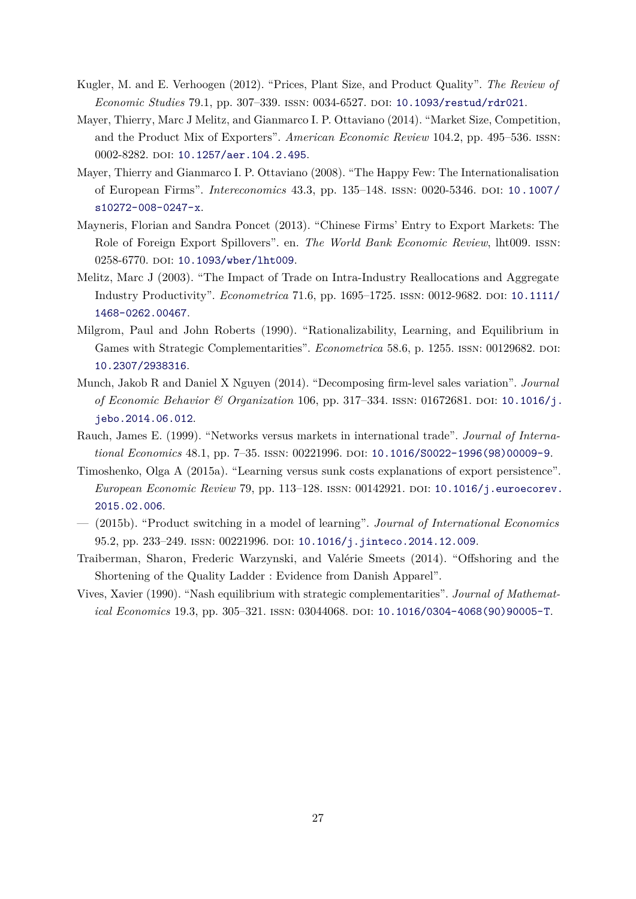- <span id="page-26-8"></span>Kugler, M. and E. Verhoogen (2012). "Prices, Plant Size, and Product Quality". *The Review of Economic Studies* 79.1, pp. 307–339. issn: 0034-6527. doi: [10.1093/restud/rdr021](https://doi.org/10.1093/restud/rdr021).
- <span id="page-26-3"></span>Mayer, Thierry, Marc J Melitz, and Gianmarco I. P. Ottaviano (2014). "Market Size, Competition, and the Product Mix of Exporters". *American Economic Review* 104.2, pp. 495–536. issn: 0002-8282. DOI: [10.1257/aer.104.2.495](https://doi.org/10.1257/aer.104.2.495).
- <span id="page-26-2"></span>Mayer, Thierry and Gianmarco I. P. Ottaviano (2008). "The Happy Few: The Internationalisation of European Firms". *Intereconomics* 43.3, pp. 135–148. issn: 0020-5346. doi: [10.1007/](https://doi.org/10.1007/s10272-008-0247-x) [s10272-008-0247-x](https://doi.org/10.1007/s10272-008-0247-x).
- <span id="page-26-11"></span>Mayneris, Florian and Sandra Poncet (2013). "Chinese Firms' Entry to Export Markets: The Role of Foreign Export Spillovers". en. *The World Bank Economic Review*, lht009. issn: 0258-6770. DOI: [10.1093/wber/lht009](https://doi.org/10.1093/wber/lht009).
- <span id="page-26-1"></span>Melitz, Marc J (2003). "The Impact of Trade on Intra-Industry Reallocations and Aggregate Industry Productivity". *Econometrica* 71.6, pp. 1695–1725. issn: 0012-9682. doi: [10.1111/](https://doi.org/10.1111/1468-0262.00467) [1468-0262.00467](https://doi.org/10.1111/1468-0262.00467).
- <span id="page-26-4"></span>Milgrom, Paul and John Roberts (1990). "Rationalizability, Learning, and Equilibrium in Games with Strategic Complementarities". *Econometrica* 58.6, p. 1255. ISSN: 00129682. DOI: [10.2307/2938316](https://doi.org/10.2307/2938316).
- <span id="page-26-0"></span>Munch, Jakob R and Daniel X Nguyen (2014). "Decomposing firm-level sales variation". *Journal of Economic Behavior & Organization* 106, pp. 317–334. ISSN: 01672681. DOI: [10.1016/j.](https://doi.org/10.1016/j.jebo.2014.06.012) [jebo.2014.06.012](https://doi.org/10.1016/j.jebo.2014.06.012).
- <span id="page-26-6"></span>Rauch, James E. (1999). "Networks versus markets in international trade". *Journal of International Economics* 48.1, pp. 7–35. ISSN: 00221996. DOI: [10.1016/S0022-1996\(98\)00009-9](https://doi.org/10.1016/S0022-1996(98)00009-9).
- <span id="page-26-10"></span>Timoshenko, Olga A (2015a). "Learning versus sunk costs explanations of export persistence". *European Economic Review* 79, pp. 113–128. ISSN: 00142921. DOI: [10.1016/j.euroecorev.](https://doi.org/10.1016/j.euroecorev.2015.02.006) [2015.02.006](https://doi.org/10.1016/j.euroecorev.2015.02.006).
- <span id="page-26-7"></span>— (2015b). "Product switching in a model of learning". *Journal of International Economics* 95.2, pp. 233-249. ISSN: 00221996. DOI: [10.1016/j.jinteco.2014.12.009](https://doi.org/10.1016/j.jinteco.2014.12.009).
- <span id="page-26-9"></span>Traiberman, Sharon, Frederic Warzynski, and Valérie Smeets (2014). "Offshoring and the Shortening of the Quality Ladder : Evidence from Danish Apparel".
- <span id="page-26-5"></span>Vives, Xavier (1990). "Nash equilibrium with strategic complementarities". *Journal of Mathematical Economics* 19.3, pp. 305–321. issn: 03044068. doi: [10.1016/0304-4068\(90\)90005-T](https://doi.org/10.1016/0304-4068(90)90005-T).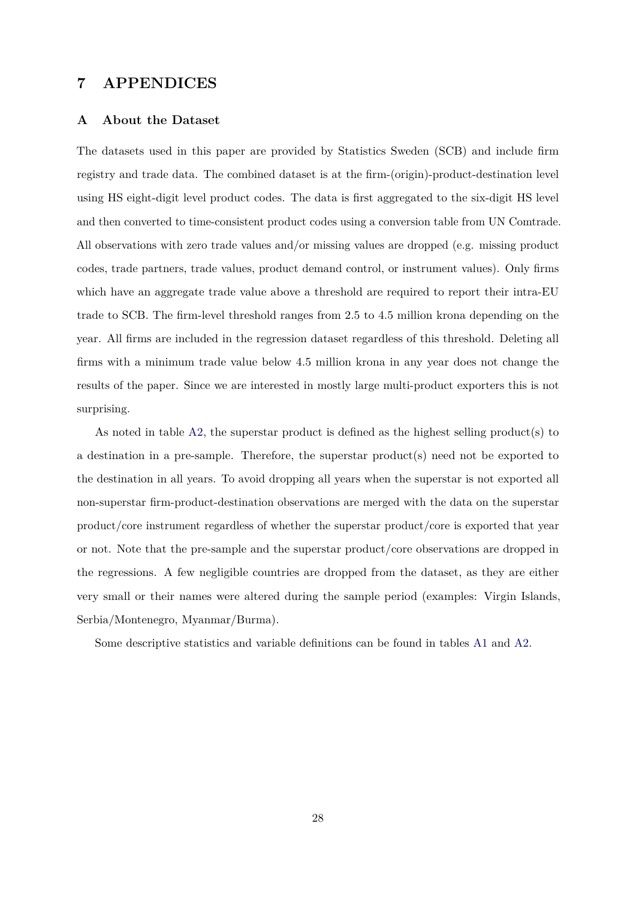# **7 APPENDICES**

### <span id="page-27-0"></span>**A About the Dataset**

The datasets used in this paper are provided by Statistics Sweden (SCB) and include firm registry and trade data. The combined dataset is at the firm-(origin)-product-destination level using HS eight-digit level product codes. The data is first aggregated to the six-digit HS level and then converted to time-consistent product codes using a conversion table from UN Comtrade. All observations with zero trade values and/or missing values are dropped (e.g. missing product codes, trade partners, trade values, product demand control, or instrument values). Only firms which have an aggregate trade value above a threshold are required to report their intra-EU trade to SCB. The firm-level threshold ranges from 2.5 to 4.5 million krona depending on the year. All firms are included in the regression dataset regardless of this threshold. Deleting all firms with a minimum trade value below 4.5 million krona in any year does not change the results of the paper. Since we are interested in mostly large multi-product exporters this is not surprising.

As noted in table [A2,](#page-28-1) the superstar product is defined as the highest selling product(s) to a destination in a pre-sample. Therefore, the superstar product(s) need not be exported to the destination in all years. To avoid dropping all years when the superstar is not exported all non-superstar firm-product-destination observations are merged with the data on the superstar product/core instrument regardless of whether the superstar product/core is exported that year or not. Note that the pre-sample and the superstar product/core observations are dropped in the regressions. A few negligible countries are dropped from the dataset, as they are either very small or their names were altered during the sample period (examples: Virgin Islands, Serbia/Montenegro, Myanmar/Burma).

Some descriptive statistics and variable definitions can be found in tables [A1](#page-28-0) and [A2.](#page-28-1)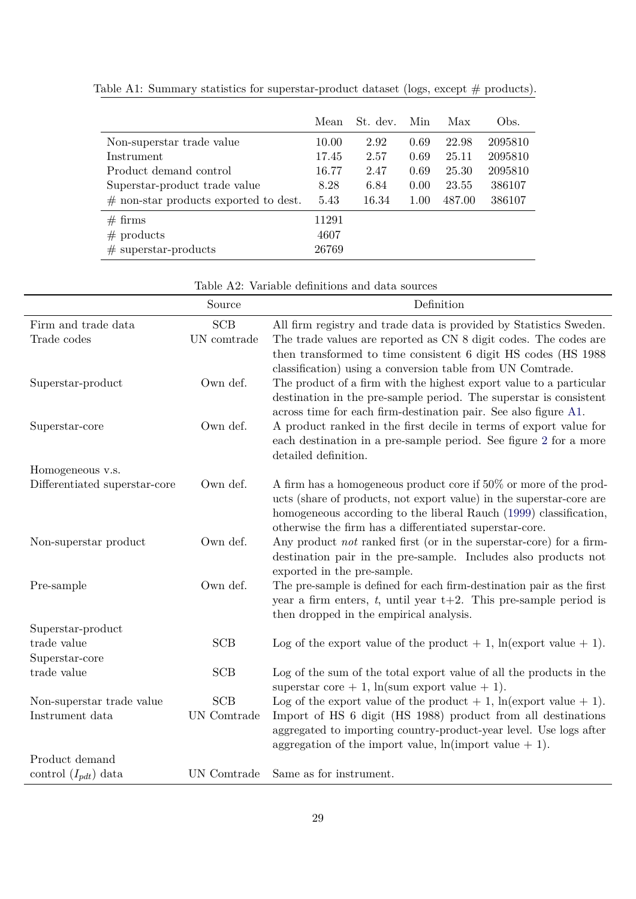|                                         | Mean  | St. dev. | Min  | Max    | Obs.    |
|-----------------------------------------|-------|----------|------|--------|---------|
| Non-superstar trade value               | 10.00 | 2.92     | 0.69 | 22.98  | 2095810 |
| Instrument                              | 17.45 | 2.57     | 0.69 | 25.11  | 2095810 |
| Product demand control                  | 16.77 | 2.47     | 0.69 | 25.30  | 2095810 |
| Superstar-product trade value           | 8.28  | 6.84     | 0.00 | 23.55  | 386107  |
| $#$ non-star products exported to dest. | 5.43  | 16.34    | 1.00 | 487.00 | 386107  |
| $#$ firms                               | 11291 |          |      |        |         |
| $#$ products                            | 4607  |          |      |        |         |
| $#$ superstar-products                  | 26769 |          |      |        |         |

<span id="page-28-0"></span>Table A1: Summary statistics for superstar-product dataset (logs, except  $\#$  products).

| Table A2: Variable definitions and data sources |  |
|-------------------------------------------------|--|
|-------------------------------------------------|--|

<span id="page-28-1"></span>

|                               | Source      | Definition                                                                                                                            |
|-------------------------------|-------------|---------------------------------------------------------------------------------------------------------------------------------------|
| Firm and trade data           | <b>SCB</b>  | All firm registry and trade data is provided by Statistics Sweden.                                                                    |
| Trade codes                   | UN comtrade | The trade values are reported as CN 8 digit codes. The codes are                                                                      |
|                               |             | then transformed to time consistent 6 digit HS codes (HS 1988)                                                                        |
| Superstar-product             | Own def.    | classification) using a conversion table from UN Comtrade.<br>The product of a firm with the highest export value to a particular     |
|                               |             | destination in the pre-sample period. The superstar is consistent                                                                     |
|                               |             | across time for each firm-destination pair. See also figure A1.                                                                       |
| Superstar-core                | Own def.    | A product ranked in the first decile in terms of export value for                                                                     |
|                               |             | each destination in a pre-sample period. See figure 2 for a more<br>detailed definition.                                              |
| Homogeneous v.s.              |             |                                                                                                                                       |
| Differentiated superstar-core | Own def.    | A firm has a homogeneous product core if 50% or more of the prod-                                                                     |
|                               |             | ucts (share of products, not export value) in the superstar-core are                                                                  |
|                               |             | homogeneous according to the liberal Rauch (1999) classification,                                                                     |
| Non-superstar product         | Own def.    | otherwise the firm has a differentiated superstar-core.<br>Any product <i>not</i> ranked first (or in the superstar-core) for a firm- |
|                               |             | destination pair in the pre-sample. Includes also products not                                                                        |
|                               |             | exported in the pre-sample.                                                                                                           |
| Pre-sample                    | Own def.    | The pre-sample is defined for each firm-destination pair as the first                                                                 |
|                               |             | year a firm enters, t, until year $t+2$ . This pre-sample period is<br>then dropped in the empirical analysis.                        |
| Superstar-product             |             |                                                                                                                                       |
| trade value                   | <b>SCB</b>  | Log of the export value of the product $+1$ , ln(export value $+1$ ).                                                                 |
| Superstar-core                |             |                                                                                                                                       |
| trade value                   | <b>SCB</b>  | Log of the sum of the total export value of all the products in the                                                                   |
| Non-superstar trade value     | SCB         | superstar core + 1, $\ln(\text{sum export value} + 1)$ .<br>Log of the export value of the product $+1$ , ln(export value $+1$ ).     |
| Instrument data               | UN Comtrade | Import of HS 6 digit (HS 1988) product from all destinations                                                                          |
|                               |             | aggregated to importing country-product-year level. Use logs after                                                                    |
|                               |             | aggregation of the import value, $\ln(\text{import value} + 1)$ .                                                                     |
| Product demand                |             |                                                                                                                                       |
| control $(I_{pdt})$ data      | UN Comtrade | Same as for instrument.                                                                                                               |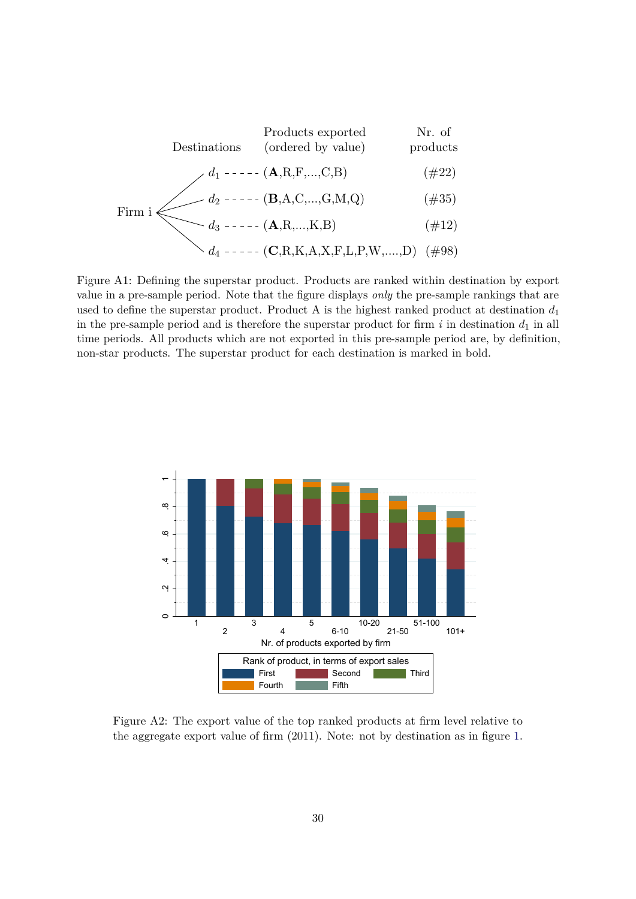<span id="page-29-0"></span>Firm i d<sup>3</sup> (A,R,...,K,B) (#12) d<sup>2</sup> (B,A,C,...,G,M,Q) (#35) d<sup>1</sup> (A,R,F,...,C,B) (#22) Destinations Products exported (ordered by value) Nr. of products

$$
\langle d_4 --- (-C, R, K, A, X, F, L, P, W, \dots, D) \rangle
$$
(#98)

Figure A1: Defining the superstar product. Products are ranked within destination by export value in a pre-sample period. Note that the figure displays *only* the pre-sample rankings that are used to define the superstar product. Product A is the highest ranked product at destination  $d_1$ in the pre-sample period and is therefore the superstar product for firm  $i$  in destination  $d_1$  in all time periods. All products which are not exported in this pre-sample period are, by definition, non-star products. The superstar product for each destination is marked in bold.



Figure A2: The export value of the top ranked products at firm level relative to the aggregate export value of firm (2011). Note: not by destination as in figure [1.](#page-6-0)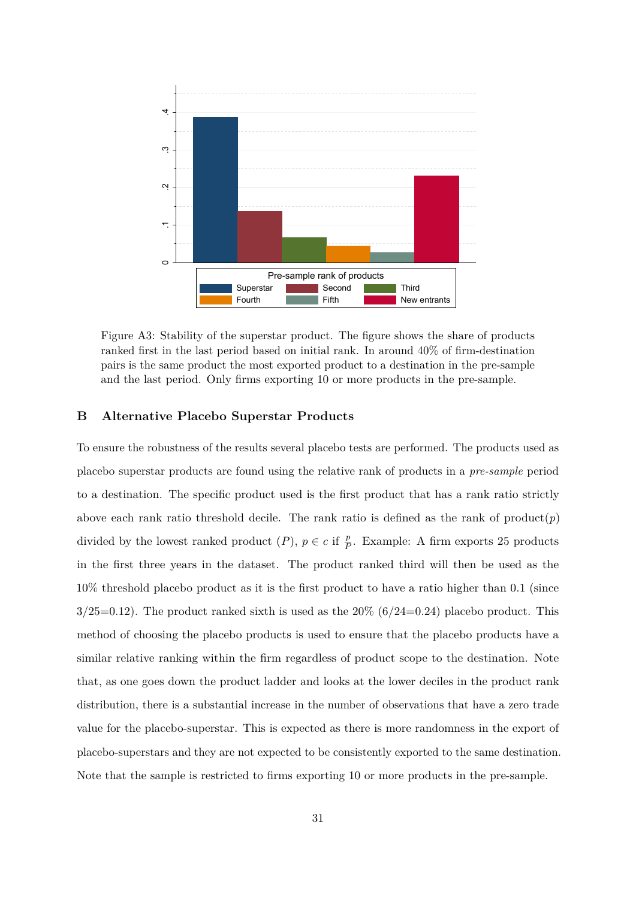<span id="page-30-0"></span>

Figure A3: Stability of the superstar product. The figure shows the share of products ranked first in the last period based on initial rank. In around 40% of firm-destination pairs is the same product the most exported product to a destination in the pre-sample and the last period. Only firms exporting 10 or more products in the pre-sample.

### <span id="page-30-1"></span>**B Alternative Placebo Superstar Products**

To ensure the robustness of the results several placebo tests are performed. The products used as placebo superstar products are found using the relative rank of products in a *pre-sample* period to a destination. The specific product used is the first product that has a rank ratio strictly above each rank ratio threshold decile. The rank ratio is defined as the rank of product( $p$ ) divided by the lowest ranked product  $(P)$ ,  $p \in c$  if  $\frac{p}{P}$ . Example: A firm exports 25 products in the first three years in the dataset. The product ranked third will then be used as the 10% threshold placebo product as it is the first product to have a ratio higher than 0.1 (since  $3/25=0.12$ ). The product ranked sixth is used as the  $20\%$  (6/24=0.24) placebo product. This method of choosing the placebo products is used to ensure that the placebo products have a similar relative ranking within the firm regardless of product scope to the destination. Note that, as one goes down the product ladder and looks at the lower deciles in the product rank distribution, there is a substantial increase in the number of observations that have a zero trade value for the placebo-superstar. This is expected as there is more randomness in the export of placebo-superstars and they are not expected to be consistently exported to the same destination. Note that the sample is restricted to firms exporting 10 or more products in the pre-sample.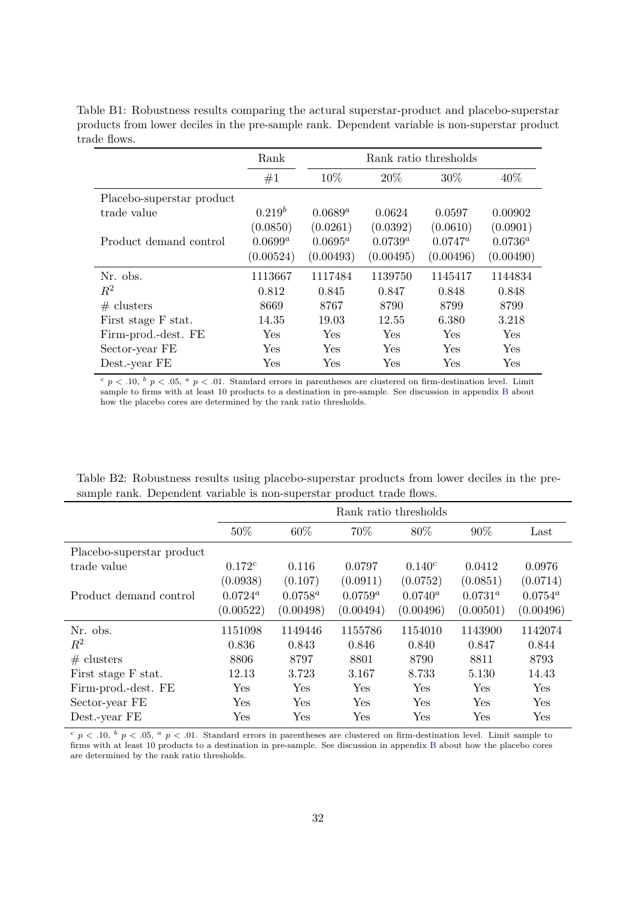<span id="page-31-0"></span>Table B1: Robustness results comparing the actural superstar-product and placebo-superstar products from lower deciles in the pre-sample rank. Dependent variable is non-superstar product trade flows.

|                           | Rank       | Rank ratio thresholds |            |            |            |  |
|---------------------------|------------|-----------------------|------------|------------|------------|--|
|                           | #1         | 10\%                  | 20\%       | 30\%       | 40\%       |  |
| Placebo-superstar product |            |                       |            |            |            |  |
| trade value               | $0.219^b$  | $0.0689^a$            | 0.0624     | 0.0597     | 0.00902    |  |
|                           | (0.0850)   | (0.0261)              | (0.0392)   | (0.0610)   | (0.0901)   |  |
| Product demand control    | $0.0699^a$ | $0.0695^a$            | $0.0739^a$ | $0.0747^a$ | $0.0736^a$ |  |
|                           | (0.00524)  | (0.00493)             | (0.00495)  | (0.00496)  | (0.00490)  |  |
| Nr. obs.                  | 1113667    | 1117484               | 1139750    | 1145417    | 1144834    |  |
| $R^2$                     | 0.812      | 0.845                 | 0.847      | 0.848      | 0.848      |  |
| # clusters                | 8669       | 8767                  | 8790       | 8799       | 8799       |  |
| First stage F stat.       | 14.35      | 19.03                 | 12.55      | 6.380      | 3.218      |  |
| Firm-prod.-dest. FE       | Yes        | Yes                   | <b>Yes</b> | <b>Yes</b> | Yes        |  |
| Sector-year FE            | Yes        | Yes                   | <b>Yes</b> | <b>Yes</b> | Yes        |  |
| Dest.-year FE             | Yes        | Yes                   | Yes        | Yes        | Yes        |  |

 $c$  *p* < .10,  $b$  *p* < .05,  $a$  *p* < .01. Standard errors in parentheses are clustered on firm-destination level. Limit sample to firms with at least 10 products to a destination in pre-sample. See discussion in appendix [B](#page-30-1) about how the placebo cores are determined by the rank ratio thresholds.

<span id="page-31-1"></span>

| Table B2: Robustness results using placebo-superstar products from lower deciles in the pre- |
|----------------------------------------------------------------------------------------------|
| sample rank. Dependent variable is non-superstar product trade flows.                        |
| Rank ratio thresholds                                                                        |

|                           |                      |            |              | Rank ratio thresholds |              |            |
|---------------------------|----------------------|------------|--------------|-----------------------|--------------|------------|
|                           | 50%                  | 60%        | 70%          | 80\%                  | 90%          | Last       |
| Placebo-superstar product |                      |            |              |                       |              |            |
| trade value               | $0.172^{c}$          | 0.116      | 0.0797       | $0.140^{c}$           | 0.0412       | 0.0976     |
|                           | (0.0938)             | (0.107)    | (0.0911)     | (0.0752)              | (0.0851)     | (0.0714)   |
| Product demand control    | $0.0724^a$           | $0.0758^a$ | $0.0759^{a}$ | $0.0740^a$            | $0.0731^{a}$ | $0.0754^a$ |
|                           | (0.00522)            | (0.00498)  | (0.00494)    | (0.00496)             | (0.00501)    | (0.00496)  |
| Nr. obs.                  | 1151098              | 1149446    | 1155786      | 1154010               | 1143900      | 1142074    |
| $R^2$                     | 0.836                | 0.843      | 0.846        | 0.840                 | 0.847        | 0.844      |
| # clusters                | 8806                 | 8797       | 8801         | 8790                  | 8811         | 8793       |
| First stage F stat.       | 12.13                | 3.723      | 3.167        | 8.733                 | 5.130        | 14.43      |
| Firm-prod.-dest. FE       | Yes                  | Yes        | Yes          | Yes                   | Yes          | Yes        |
| Sector-year FE            | Yes                  | Yes        | Yes          | Yes                   | Yes          | Yes        |
| Dest.-year FE             | $\operatorname{Yes}$ | Yes        | Yes          | Yes                   | Yes          | Yes        |

 $c$  *p* < .10,  $b$  *p* < .05,  $a$  *p* < .01. Standard errors in parentheses are clustered on firm-destination level. Limit sample to firms with at least 10 products to a destination in pre-sample. See discussion in appendix [B](#page-30-1) about how the placebo cores are determined by the rank ratio thresholds.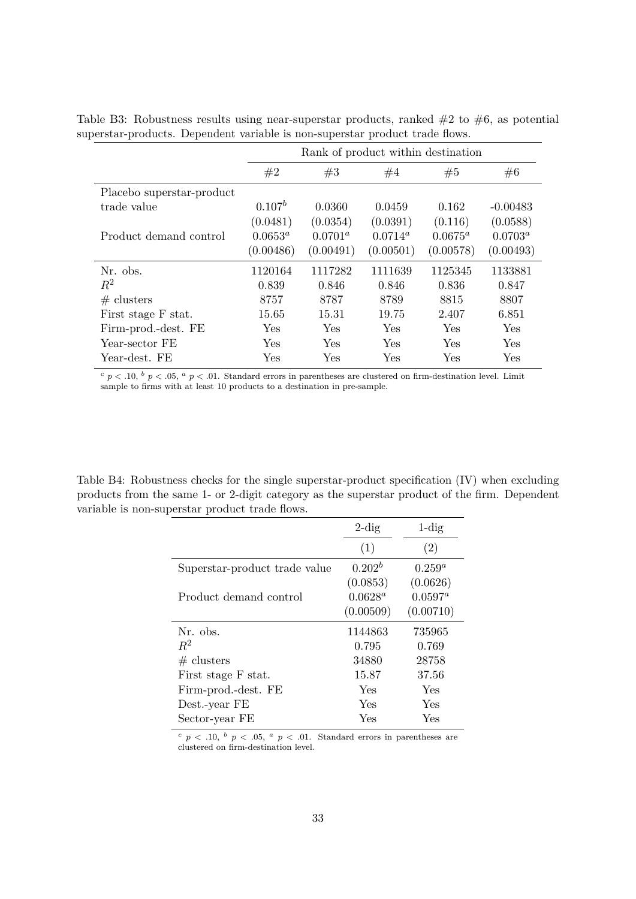|                           |            | Rank of product within destination |            |            |            |  |  |  |  |
|---------------------------|------------|------------------------------------|------------|------------|------------|--|--|--|--|
|                           | #2         | #3                                 | #4         | #5         | #6         |  |  |  |  |
| Placebo superstar-product |            |                                    |            |            |            |  |  |  |  |
| trade value               | $0.107^b$  | 0.0360                             | 0.0459     | 0.162      | $-0.00483$ |  |  |  |  |
|                           | (0.0481)   | (0.0354)                           | (0.0391)   | (0.116)    | (0.0588)   |  |  |  |  |
| Product demand control    | $0.0653^a$ | $0.0701^a$                         | $0.0714^a$ | $0.0675^a$ | $0.0703^a$ |  |  |  |  |
|                           | (0.00486)  | (0.00491)                          | (0.00501)  | (0.00578)  | (0.00493)  |  |  |  |  |
| Nr. obs.                  | 1120164    | 1117282                            | 1111639    | 1125345    | 1133881    |  |  |  |  |
| $R^2$                     | 0.839      | 0.846                              | 0.846      | 0.836      | 0.847      |  |  |  |  |
| $#$ clusters              | 8757       | 8787                               | 8789       | 8815       | 8807       |  |  |  |  |
| First stage F stat.       | 15.65      | 15.31                              | 19.75      | 2.407      | 6.851      |  |  |  |  |
| Firm-prod.-dest. FE       | Yes        | Yes                                | Yes        | Yes.       | Yes        |  |  |  |  |
| Year-sector FE            | Yes        | Yes                                | Yes        | <b>Yes</b> | <b>Yes</b> |  |  |  |  |
| Year-dest. FE             | Yes        | Yes                                | Yes        | Yes        | Yes        |  |  |  |  |

<span id="page-32-1"></span>Table B3: Robustness results using near-superstar products, ranked  $#2$  to  $#6$ , as potential superstar-products. Dependent variable is non-superstar product trade flows.

 $c$  *p* < .10,  $b$  *p* < .05,  $a$  *p* < .01. Standard errors in parentheses are clustered on firm-destination level. Limit sample to firms with at least 10 products to a destination in pre-sample.

<span id="page-32-0"></span>Table B4: Robustness checks for the single superstar-product specification (IV) when excluding products from the same 1- or 2-digit category as the superstar product of the firm. Dependent variable is non-superstar product trade flows.

|                               | $2\text{-dig}$ | $1$ -dig   |
|-------------------------------|----------------|------------|
|                               | (1)            | (2)        |
| Superstar-product trade value | $0.202^b$      | $0.259^a$  |
|                               | (0.0853)       | (0.0626)   |
| Product demand control        | $0.0628^a$     | $0.0597^a$ |
|                               | (0.00509)      | (0.00710)  |
| Nr. obs.                      | 1144863        | 735965     |
| $R^2$                         | 0.795          | 0.769      |
| # clusters                    | 34880          | 28758      |
| First stage F stat.           | 15.87          | 37.56      |
| Firm-prod.-dest. FE           | Yes            | Yes        |
| Dest.-year FE                 | Yes            | Yes        |
| Sector-year FE                | Yes            | Yes        |

 $c$   $p$  < .10,  $b$   $p$  < .05,  $a$   $p$  < .01. Standard errors in parentheses are clustered on firm-destination level.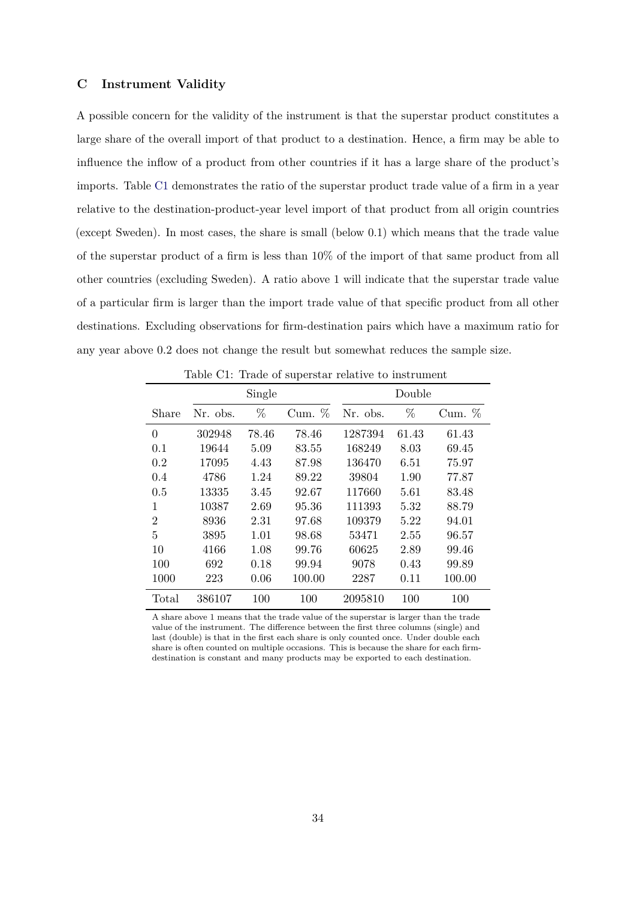#### <span id="page-33-0"></span>**C Instrument Validity**

A possible concern for the validity of the instrument is that the superstar product constitutes a large share of the overall import of that product to a destination. Hence, a firm may be able to influence the inflow of a product from other countries if it has a large share of the product's imports. Table [C1](#page-33-1) demonstrates the ratio of the superstar product trade value of a firm in a year relative to the destination-product-year level import of that product from all origin countries (except Sweden). In most cases, the share is small (below 0.1) which means that the trade value of the superstar product of a firm is less than 10% of the import of that same product from all other countries (excluding Sweden). A ratio above 1 will indicate that the superstar trade value of a particular firm is larger than the import trade value of that specific product from all other destinations. Excluding observations for firm-destination pairs which have a maximum ratio for any year above 0.2 does not change the result but somewhat reduces the sample size.

<span id="page-33-1"></span>

|                |          | Single |          |          | Double |           |
|----------------|----------|--------|----------|----------|--------|-----------|
| Share          | Nr. obs. | $\%$   | Cum. $%$ | Nr. obs. | %      | $Cum. \%$ |
| $\theta$       | 302948   | 78.46  | 78.46    | 1287394  | 61.43  | 61.43     |
| 0.1            | 19644    | 5.09   | 83.55    | 168249   | 8.03   | 69.45     |
| 0.2            | 17095    | 4.43   | 87.98    | 136470   | 6.51   | 75.97     |
| 0.4            | 4786     | 1.24   | 89.22    | 39804    | 1.90   | 77.87     |
| 0.5            | 13335    | 3.45   | 92.67    | 117660   | 5.61   | 83.48     |
| 1              | 10387    | 2.69   | 95.36    | 111393   | 5.32   | 88.79     |
| $\overline{2}$ | 8936     | 2.31   | 97.68    | 109379   | 5.22   | 94.01     |
| 5              | 3895     | 1.01   | 98.68    | 53471    | 2.55   | 96.57     |
| 10             | 4166     | 1.08   | 99.76    | 60625    | 2.89   | 99.46     |
| 100            | 692      | 0.18   | 99.94    | 9078     | 0.43   | 99.89     |
| 1000           | 223      | 0.06   | 100.00   | 2287     | 0.11   | 100.00    |
| Total          | 386107   | 100    | 100      | 2095810  | 100    | 100       |

Table C1: Trade of superstar relative to instrument

A share above 1 means that the trade value of the superstar is larger than the trade value of the instrument. The difference between the first three columns (single) and last (double) is that in the first each share is only counted once. Under double each share is often counted on multiple occasions. This is because the share for each firmdestination is constant and many products may be exported to each destination.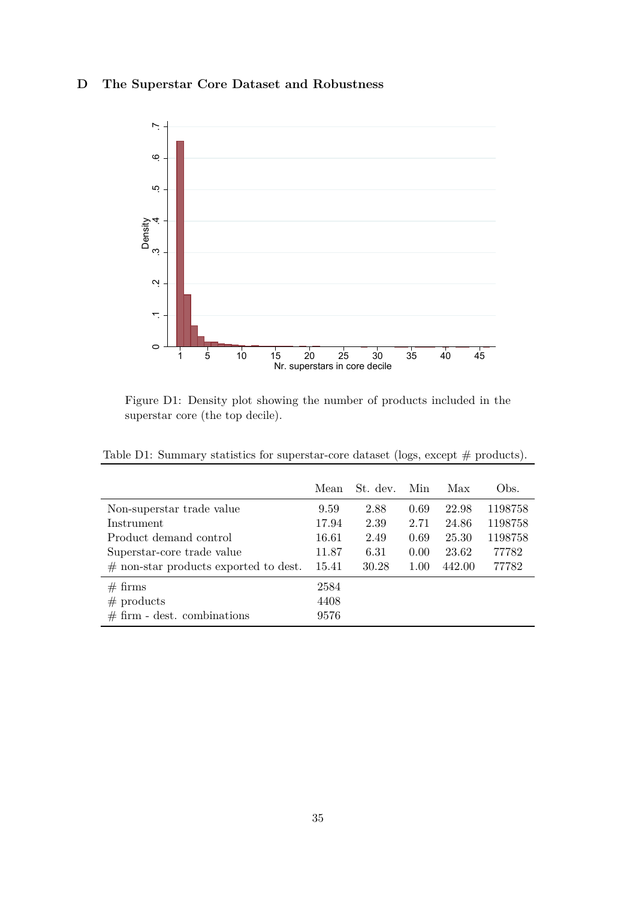# <span id="page-34-2"></span><span id="page-34-1"></span>**D The Superstar Core Dataset and Robustness**



Figure D1: Density plot showing the number of products included in the superstar core (the top decile).

<span id="page-34-0"></span>

|  |  | Table D1: Summary statistics for superstar-core dataset (logs, except $#$ products). |
|--|--|--------------------------------------------------------------------------------------|
|  |  |                                                                                      |

|                                         | Mean  | St. dev. | Min  | Max    | Obs.    |
|-----------------------------------------|-------|----------|------|--------|---------|
| Non-superstar trade value               | 9.59  | 2.88     | 0.69 | 22.98  | 1198758 |
| Instrument                              | 17.94 | 2.39     | 2.71 | 24.86  | 1198758 |
| Product demand control                  | 16.61 | 2.49     | 0.69 | 25.30  | 1198758 |
| Superstar-core trade value              | 11.87 | 6.31     | 0.00 | 23.62  | 77782   |
| $#$ non-star products exported to dest. | 15.41 | 30.28    | 1.00 | 442.00 | 77782   |
| $# \, \text{firms}$                     | 2584  |          |      |        |         |
| $#$ products                            | 4408  |          |      |        |         |
| $# firm - dest. combinations$           | 9576  |          |      |        |         |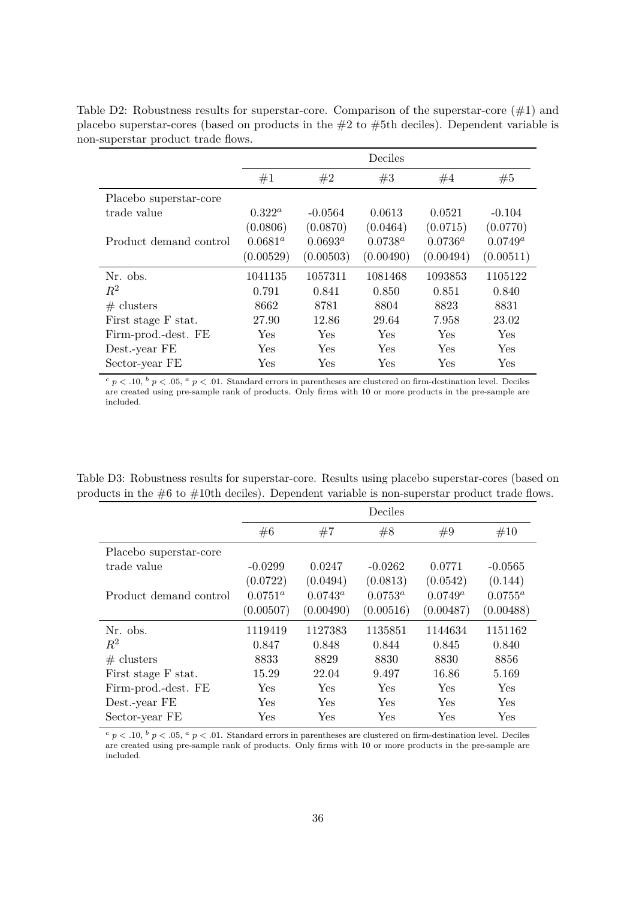|                        |            |            | Deciles    |            |             |
|------------------------|------------|------------|------------|------------|-------------|
|                        | #1         | #2         | #3         | #4         | #5          |
| Placebo superstar-core |            |            |            |            |             |
| trade value            | $0.322^a$  | $-0.0564$  | 0.0613     | 0.0521     | $-0.104$    |
|                        | (0.0806)   | (0.0870)   | (0.0464)   | (0.0715)   | (0.0770)    |
| Product demand control | $0.0681^a$ | $0.0693^a$ | $0.0738^a$ | $0.0736^a$ | $0.0749^a$  |
|                        | (0.00529)  | (0.00503)  | (0.00490)  | (0.00494)  | (0.00511)   |
| Nr. obs.               | 1041135    | 1057311    | 1081468    | 1093853    | 1105122     |
| $R^2$                  | 0.791      | 0.841      | 0.850      | 0.851      | 0.840       |
| # clusters             | 8662       | 8781       | 8804       | 8823       | 8831        |
| First stage F stat.    | 27.90      | 12.86      | 29.64      | 7.958      | 23.02       |
| Firm-prod.-dest. FE    | <b>Yes</b> | Yes        | Yes        | Yes        | Yes         |
| Dest.-year FE          | Yes        | Yes        | Yes        | Yes        | ${\rm Yes}$ |
| Sector-year FE         | Yes        | Yes        | Yes        | Yes        | Yes         |

<span id="page-35-0"></span>Table D2: Robustness results for superstar-core. Comparison of the superstar-core  $(\#1)$  and placebo superstar-cores (based on products in the  $#2$  to  $#5$ th deciles). Dependent variable is non-superstar product trade flows.

 $c$  *p* < .10,  $b$  *p* < .05,  $a$  *p* < .01. Standard errors in parentheses are clustered on firm-destination level. Deciles are created using pre-sample rank of products. Only firms with 10 or more products in the pre-sample are included.

<span id="page-35-1"></span>Table D3: Robustness results for superstar-core. Results using placebo superstar-cores (based on products in the #6 to #10th deciles). Dependent variable is non-superstar product trade flows.

|                        |            |            | Deciles    |            |            |
|------------------------|------------|------------|------------|------------|------------|
|                        | #6         | #7         | #8         | #9         | #10        |
| Placebo superstar-core |            |            |            |            |            |
| trade value            | $-0.0299$  | 0.0247     | $-0.0262$  | 0.0771     | $-0.0565$  |
|                        | (0.0722)   | (0.0494)   | (0.0813)   | (0.0542)   | (0.144)    |
| Product demand control | $0.0751^a$ | $0.0743^a$ | $0.0753^a$ | $0.0749^a$ | $0.0755^a$ |
|                        | (0.00507)  | (0.00490)  | (0.00516)  | (0.00487)  | (0.00488)  |
| Nr. obs.               | 1119419    | 1127383    | 1135851    | 1144634    | 1151162    |
| $R^2$                  | 0.847      | 0.848      | 0.844      | 0.845      | 0.840      |
| # clusters             | 8833       | 8829       | 8830       | 8830       | 8856       |
| First stage F stat.    | 15.29      | 22.04      | 9.497      | 16.86      | 5.169      |
| Firm-prod.-dest. FE    | <b>Yes</b> | Yes        | Yes        | Yes        | Yes        |
| Dest.-year FE          | <b>Yes</b> | <b>Yes</b> | Yes        | Yes        | Yes        |
| Sector-year FE         | Yes        | Yes        | Yes        | Yes        | Yes        |

 $c$  *p* < .10,  $b$  *p* < .05,  $a$  *p* < .01. Standard errors in parentheses are clustered on firm-destination level. Deciles are created using pre-sample rank of products. Only firms with 10 or more products in the pre-sample are included.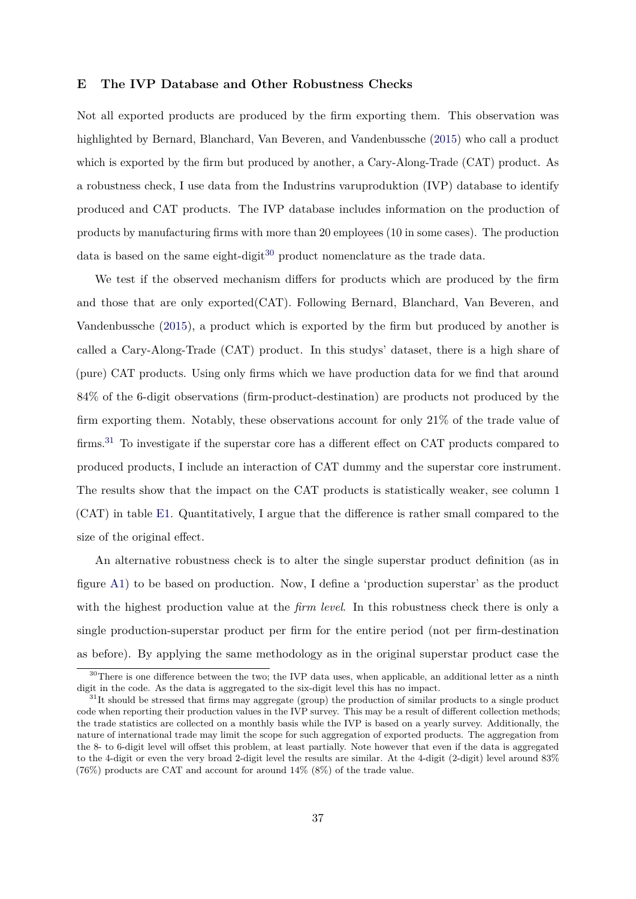### <span id="page-36-0"></span>**E The IVP Database and Other Robustness Checks**

Not all exported products are produced by the firm exporting them. This observation was highlighted by Bernard, Blanchard, Van Beveren, and Vandenbussche [\(2015\)](#page-23-5) who call a product which is exported by the firm but produced by another, a Cary-Along-Trade (CAT) product. As a robustness check, I use data from the Industrins varuproduktion (IVP) database to identify produced and CAT products. The IVP database includes information on the production of products by manufacturing firms with more than 20 employees (10 in some cases). The production data is based on the same eight-digit<sup>[30](#page-36-1)</sup> product nomenclature as the trade data.

We test if the observed mechanism differs for products which are produced by the firm and those that are only exported(CAT). Following Bernard, Blanchard, Van Beveren, and Vandenbussche [\(2015\)](#page-23-5), a product which is exported by the firm but produced by another is called a Cary-Along-Trade (CAT) product. In this studys' dataset, there is a high share of (pure) CAT products. Using only firms which we have production data for we find that around 84% of the 6-digit observations (firm-product-destination) are products not produced by the firm exporting them. Notably, these observations account for only 21% of the trade value of firms.<sup>[31](#page-36-2)</sup> To investigate if the superstar core has a different effect on CAT products compared to produced products, I include an interaction of CAT dummy and the superstar core instrument. The results show that the impact on the CAT products is statistically weaker, see column 1 (CAT) in table [E1.](#page-37-0) Quantitatively, I argue that the difference is rather small compared to the size of the original effect.

An alternative robustness check is to alter the single superstar product definition (as in figure [A1\)](#page-29-0) to be based on production. Now, I define a 'production superstar' as the product with the highest production value at the *firm level*. In this robustness check there is only a single production-superstar product per firm for the entire period (not per firm-destination as before). By applying the same methodology as in the original superstar product case the

<span id="page-36-1"></span><sup>&</sup>lt;sup>30</sup>There is one difference between the two; the IVP data uses, when applicable, an additional letter as a ninth digit in the code. As the data is aggregated to the six-digit level this has no impact.

<span id="page-36-2"></span><sup>&</sup>lt;sup>31</sup>It should be stressed that firms may aggregate (group) the production of similar products to a single product code when reporting their production values in the IVP survey. This may be a result of different collection methods; the trade statistics are collected on a monthly basis while the IVP is based on a yearly survey. Additionally, the nature of international trade may limit the scope for such aggregation of exported products. The aggregation from the 8- to 6-digit level will offset this problem, at least partially. Note however that even if the data is aggregated to the 4-digit or even the very broad 2-digit level the results are similar. At the 4-digit (2-digit) level around 83% (76%) products are CAT and account for around 14% (8%) of the trade value.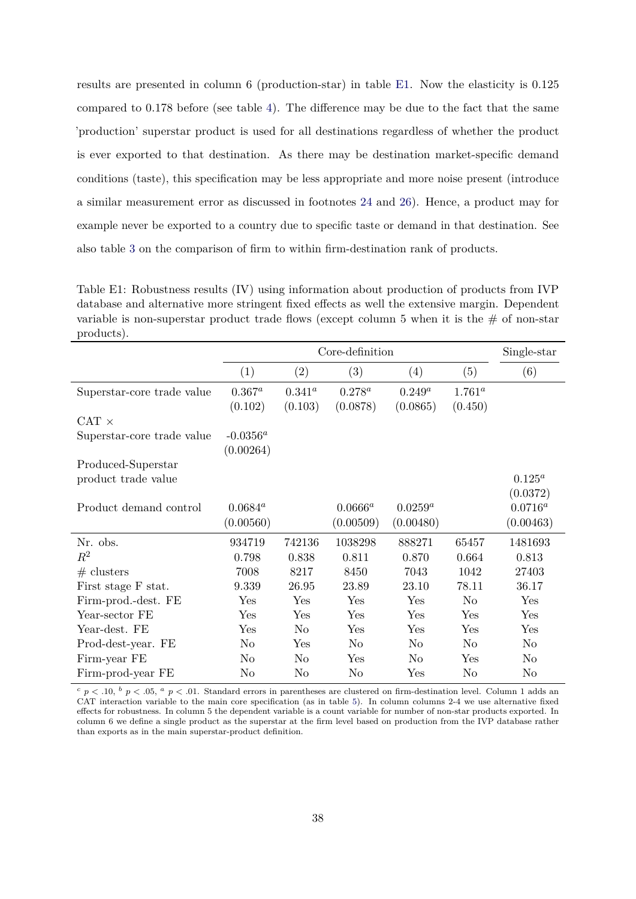results are presented in column 6 (production-star) in table [E1.](#page-37-0) Now the elasticity is 0.125 compared to 0.178 before (see table [4\)](#page-15-0). The difference may be due to the fact that the same 'production' superstar product is used for all destinations regardless of whether the product is ever exported to that destination. As there may be destination market-specific demand conditions (taste), this specification may be less appropriate and more noise present (introduce a similar measurement error as discussed in footnotes [24](#page-14-1) and [26\)](#page-17-2). Hence, a product may for example never be exported to a country due to specific taste or demand in that destination. See also table [3](#page-7-0) on the comparison of firm to within firm-destination rank of products.

<span id="page-37-0"></span>Table E1: Robustness results (IV) using information about production of products from IVP database and alternative more stringent fixed effects as well the extensive margin. Dependent variable is non-superstar product trade flows (except column 5 when it is the  $\#$  of non-star products).

|                            |                | Core-definition   |                |                |                |              |
|----------------------------|----------------|-------------------|----------------|----------------|----------------|--------------|
|                            | (1)            | $\left( 2\right)$ | (3)            | (4)            | (5)            | (6)          |
| Superstar-core trade value | $0.367^a$      | $0.341^{a}$       | $0.278^{a}$    | $0.249^a$      | $1.761^a$      |              |
|                            | (0.102)        | (0.103)           | (0.0878)       | (0.0865)       | (0.450)        |              |
| $CAT \times$               |                |                   |                |                |                |              |
| Superstar-core trade value | $-0.0356^a$    |                   |                |                |                |              |
|                            | (0.00264)      |                   |                |                |                |              |
| Produced-Superstar         |                |                   |                |                |                |              |
| product trade value        |                |                   |                |                |                | $0.125^a$    |
|                            |                |                   |                |                |                | (0.0372)     |
| Product demand control     | $0.0684^a$     |                   | $0.0666^a$     | $0.0259^a$     |                | $0.0716^{a}$ |
|                            | (0.00560)      |                   | (0.00509)      | (0.00480)      |                | (0.00463)    |
| Nr. obs.                   | 934719         | 742136            | 1038298        | 888271         | 65457          | 1481693      |
| $R^2$                      | 0.798          | 0.838             | 0.811          | 0.870          | 0.664          | 0.813        |
| $#$ clusters               | 7008           | 8217              | 8450           | 7043           | 1042           | 27403        |
| First stage F stat.        | 9.339          | 26.95             | 23.89          | 23.10          | 78.11          | 36.17        |
| Firm-prod.-dest. FE        | Yes            | Yes               | Yes            | Yes            | N <sub>o</sub> | Yes          |
| Year-sector FE             | Yes            | Yes               | Yes            | Yes            | Yes            | Yes          |
| Year-dest. FE              | Yes            | No                | Yes            | Yes            | Yes            | Yes          |
| Prod-dest-year. FE         | N <sub>o</sub> | Yes               | No             | No             | No             | No           |
| Firm-year FE               | N <sub>o</sub> | No                | Yes            | N <sub>o</sub> | Yes            | No           |
| Firm-prod-year FE          | No             | N <sub>o</sub>    | N <sub>o</sub> | Yes            | N <sub>o</sub> | No           |

 $c$  *p* < .10,  $b$  *p* < .05,  $a$  *p* < .01. Standard errors in parentheses are clustered on firm-destination level. Column 1 adds an CAT interaction variable to the main core specification (as in table [5\)](#page-18-0). In column columns 2-4 we use alternative fixed effects for robustness. In column 5 the dependent variable is a count variable for number of non-star products exported. In column 6 we define a single product as the superstar at the firm level based on production from the IVP database rather than exports as in the main superstar-product definition.